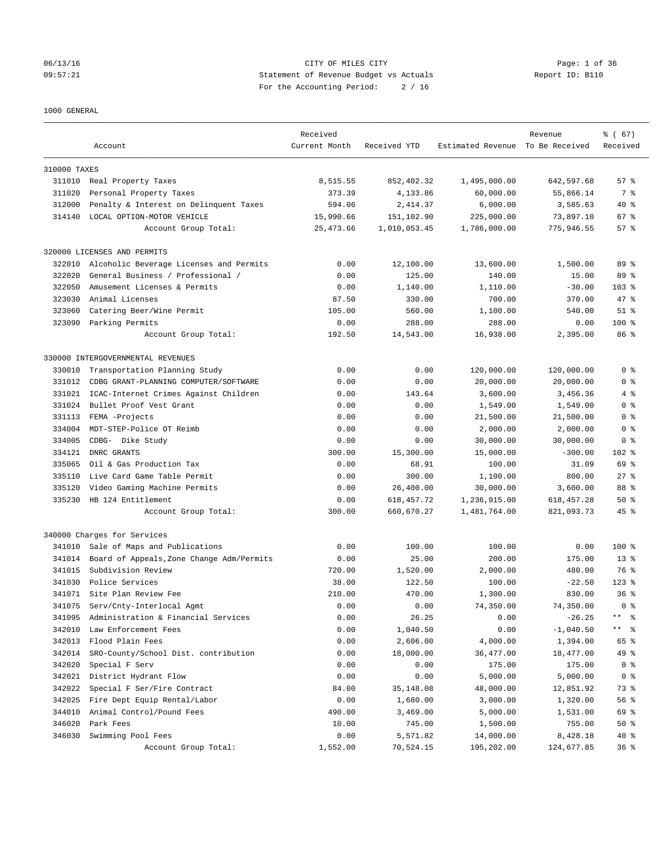#### 06/13/16 CITY OF MILES CITY Page: 1 of 36 09:57:21 Statement of Revenue Budget vs Actuals Report ID: B110 For the Accounting Period: 2 / 16

#### 1000 GENERAL

|                  |                                            | Received         |                       |                                  | Revenue                | % (67)              |
|------------------|--------------------------------------------|------------------|-----------------------|----------------------------------|------------------------|---------------------|
|                  | Account                                    | Current Month    | Received YTD          | Estimated Revenue To Be Received |                        | Received            |
|                  |                                            |                  |                       |                                  |                        |                     |
| 310000 TAXES     |                                            |                  |                       |                                  |                        |                     |
|                  | 311010 Real Property Taxes                 | 8,515.55         | 852,402.32            | 1,495,000.00                     | 642,597.68             | 57%                 |
| 311020           | Personal Property Taxes                    | 373.39           | 4,133.86              | 60,000.00                        | 55,866.14              | 7 %                 |
| 312000           | Penalty & Interest on Delinquent Taxes     | 594.06           | 2,414.37              | 6,000.00                         | 3,585.63               | $40*$               |
| 314140           | LOCAL OPTION-MOTOR VEHICLE                 | 15,990.66        | 151,102.90            | 225,000.00                       | 73,897.10              | 67 %                |
|                  | Account Group Total:                       | 25, 473.66       | 1,010,053.45          | 1,786,000.00                     | 775,946.55             | 57%                 |
|                  | 320000 LICENSES AND PERMITS                |                  |                       |                                  |                        |                     |
| 322010           | Alcoholic Beverage Licenses and Permits    | 0.00             | 12,100.00             | 13,600.00                        | 1,500.00               | 89 %                |
| 322020           | General Business / Professional /          | 0.00             | 125.00                | 140.00                           | 15.00                  | 89 %                |
| 322050           | Amusement Licenses & Permits               | 0.00             | 1,140.00              | 1,110.00                         | $-30.00$               | $103$ $%$           |
| 323030           | Animal Licenses                            | 87.50            | 330.00                | 700.00                           | 370.00                 | 47 %                |
| 323060           | Catering Beer/Wine Permit                  | 105.00           | 560.00                | 1,100.00                         | 540.00                 | $51$ %              |
| 323090           | Parking Permits                            | 0.00             | 288.00                | 288.00                           | 0.00                   | $100$ %             |
|                  | Account Group Total:                       | 192.50           | 14,543.00             | 16,938.00                        | 2,395.00               | 86 %                |
|                  | 330000 INTERGOVERNMENTAL REVENUES          |                  |                       |                                  |                        |                     |
| 330010           |                                            |                  |                       | 120,000.00                       |                        |                     |
|                  | Transportation Planning Study              | 0.00             | 0.00                  |                                  | 120,000.00             | 0 <sup>8</sup>      |
| 331012           | CDBG GRANT-PLANNING COMPUTER/SOFTWARE      | 0.00             | 0.00                  | 20,000.00                        | 20,000.00              | 0 <sup>8</sup>      |
| 331021           | ICAC-Internet Crimes Against Children      | 0.00             | 143.64                | 3,600.00                         | 3,456.36               | 4%                  |
| 331024           | Bullet Proof Vest Grant                    | 0.00             | 0.00                  | 1,549.00                         | 1,549.00               | 0 <sup>8</sup>      |
| 331113           | FEMA -Projects                             | 0.00             | 0.00                  | 21,500.00                        | 21,500.00              | 0 %                 |
| 334004           | MDT-STEP-Police OT Reimb                   | 0.00             | 0.00                  | 2,000.00                         | 2,000.00               | 0 <sup>8</sup>      |
| 334005           | CDBG- Dike Study                           | 0.00             | 0.00                  | 30,000.00                        | 30,000.00              | 0 <sup>8</sup>      |
| 334121           | DNRC GRANTS                                | 300.00           | 15,300.00             | 15,000.00                        | $-300.00$              | 102 %               |
| 335065           | Oil & Gas Production Tax                   | 0.00             | 68.91                 | 100.00                           | 31.09                  | 69 %                |
| 335110           | Live Card Game Table Permit                | 0.00             | 300.00                | 1,100.00                         | 800.00                 | $27$ $%$            |
| 335120           | Video Gaming Machine Permits               | 0.00             | 26,400.00             | 30,000.00                        | 3,600.00               | 88 %                |
| 335230           | HB 124 Entitlement                         | 0.00             | 618, 457. 72          | 1,236,915.00                     | 618, 457.28            | 50%                 |
|                  | Account Group Total:                       | 300.00           | 660,670.27            | 1,481,764.00                     | 821,093.73             | $45$ %              |
|                  | 340000 Charges for Services                |                  |                       |                                  |                        |                     |
| 341010           | Sale of Maps and Publications              | 0.00             | 100.00                | 100.00                           | 0.00                   | $100$ %             |
| 341014           | Board of Appeals, Zone Change Adm/Permits  | 0.00             | 25.00                 | 200.00                           | 175.00                 | $13*$               |
| 341015           | Subdivision Review                         | 720.00           | 1,520.00              | 2,000.00                         | 480.00                 | 76 %                |
| 341030           | Police Services                            | 38.00            | 122.50                | 100.00                           | $-22.50$               | $123$ %             |
|                  | 341071 Site Plan Review Fee                | 210.00           | 470.00                | 1,300.00                         | 830.00                 | 36 <sup>8</sup>     |
| 341075           | Serv/Cnty-Interlocal Agmt                  | 0.00             | 0.00                  | 74,350.00                        | 74,350.00              | 0 <sup>8</sup>      |
| 341095           | Administration & Financial Services        | 0.00             | 26.25                 | 0.00                             | $-26.25$               | $\star\star$<br>- ৡ |
| 342010           | Law Enforcement Fees                       | 0.00             | 1,040.50              | 0.00                             | $-1,040.50$            | $\star\star$<br>ႜ   |
| 342013           | Flood Plain Fees                           | 0.00             | 2,606.00              | 4,000.00                         | 1,394.00               | 65 %                |
| 342014           | SRO-County/School Dist. contribution       | 0.00             | 18,000.00             | 36,477.00                        | 18,477.00              | 49 %                |
| 342020           | Special F Serv                             | 0.00             | 0.00                  | 175.00                           | 175.00                 | 0 <sup>8</sup>      |
| 342021           | District Hydrant Flow                      | 0.00             | 0.00                  | 5,000.00                         | 5,000.00               | 0 <sup>8</sup>      |
| 342022           | Special F Ser/Fire Contract                | 84.00            | 35,148.08             | 48,000.00                        | 12,851.92              | 73 %                |
| 342025           | Fire Dept Equip Rental/Labor               | 0.00             | 1,680.00              | 3,000.00                         | 1,320.00               | 56 %                |
| 344010           | Animal Control/Pound Fees                  | 490.00           | 3,469.00              |                                  |                        |                     |
|                  |                                            |                  |                       | 5,000.00                         | 1,531.00               | 69 %                |
| 346020<br>346030 | Park Fees                                  | 10.00            | 745.00                | 1,500.00                         | 755.00                 | $50*$               |
|                  | Swimming Pool Fees<br>Account Group Total: | 0.00<br>1,552.00 | 5,571.82<br>70,524.15 | 14,000.00<br>195,202.00          | 8,428.18<br>124,677.85 | 40 %<br>36%         |
|                  |                                            |                  |                       |                                  |                        |                     |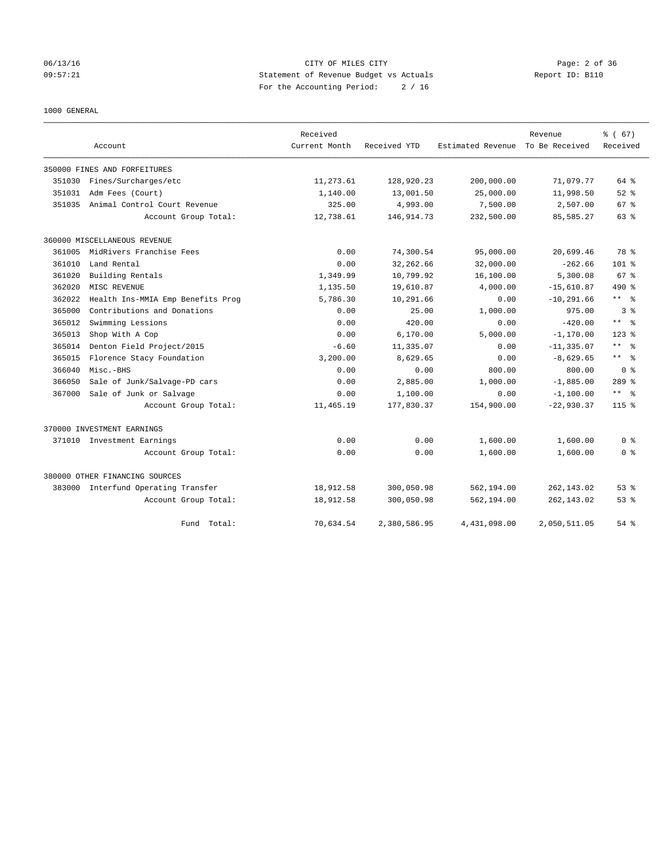## 06/13/16 CITY OF MILES CITY Page: 2 of 36 09:57:21 Statement of Revenue Budget vs Actuals Report ID: B110 For the Accounting Period: 2 / 16

1000 GENERAL

|        |                                     | Received      |              |                   | Revenue        | % (67)                  |
|--------|-------------------------------------|---------------|--------------|-------------------|----------------|-------------------------|
|        | Account                             | Current Month | Received YTD | Estimated Revenue | To Be Received | Received                |
|        | 350000 FINES AND FORFEITURES        |               |              |                   |                |                         |
| 351030 | Fines/Surcharges/etc                | 11,273.61     | 128,920.23   | 200,000.00        | 71,079.77      | 64 %                    |
| 351031 | Adm Fees (Court)                    | 1,140.00      | 13,001.50    | 25,000.00         | 11,998.50      | $52$ $%$                |
| 351035 | Animal Control Court Revenue        | 325.00        | 4,993.00     | 7,500.00          | 2,507.00       | 67 %                    |
|        | Account Group Total:                | 12,738.61     | 146, 914. 73 | 232,500.00        | 85,585.27      | 63 %                    |
|        | 360000 MISCELLANEOUS REVENUE        |               |              |                   |                |                         |
| 361005 | MidRivers Franchise Fees            | 0.00          | 74,300.54    | 95,000.00         | 20,699.46      | 78 %                    |
| 361010 | Land Rental                         | 0.00          | 32, 262.66   | 32,000.00         | $-262.66$      | $101$ %                 |
| 361020 | Building Rentals                    | 1,349.99      | 10,799.92    | 16,100.00         | 5,300.08       | 67 <sup>8</sup>         |
| 362020 | MISC REVENUE                        | 1,135.50      | 19,610.87    | 4,000.00          | $-15,610.87$   | $490*$                  |
| 362022 | Health Ins-MMIA Emp Benefits Prog   | 5,786.30      | 10,291.66    | 0.00              | $-10, 291.66$  | ** *                    |
| 365000 | Contributions and Donations         | 0.00          | 25.00        | 1,000.00          | 975.00         | 3 <sup>8</sup>          |
| 365012 | Swimming Lessions                   | 0.00          | 420.00       | 0.00              | $-420.00$      | $***$ $=$ $\frac{6}{5}$ |
| 365013 | Shop With A Cop                     | 0.00          | 6,170.00     | 5,000.00          | $-1, 170.00$   | $123$ $%$               |
| 365014 | Denton Field Project/2015           | $-6.60$       | 11,335.07    | 0.00              | $-11, 335.07$  | $***$ $ -$              |
| 365015 | Florence Stacy Foundation           | 3,200.00      | 8,629.65     | 0.00              | $-8,629.65$    | $***$ $ -$              |
| 366040 | Misc.-BHS                           | 0.00          | 0.00         | 800.00            | 800.00         | 0 <sup>8</sup>          |
| 366050 | Sale of Junk/Salvage-PD cars        | 0.00          | 2,885.00     | 1,000.00          | $-1,885.00$    | $289$ $%$               |
| 367000 | Sale of Junk or Salvage             | 0.00          | 1,100.00     | 0.00              | $-1,100.00$    | $***$ $=$ $\frac{6}{5}$ |
|        | Account Group Total:                | 11,465.19     | 177,830.37   | 154,900.00        | $-22,930.37$   | 115 <sub>8</sub>        |
|        | 370000 INVESTMENT EARNINGS          |               |              |                   |                |                         |
|        | 371010 Investment Earnings          | 0.00          | 0.00         | 1,600.00          | 1,600.00       | 0 <sup>8</sup>          |
|        | Account Group Total:                | 0.00          | 0.00         | 1,600.00          | 1,600.00       | 0 <sup>8</sup>          |
|        | 380000 OTHER FINANCING SOURCES      |               |              |                   |                |                         |
|        | 383000 Interfund Operating Transfer | 18,912.58     | 300,050.98   | 562,194.00        | 262, 143.02    | $53$ $%$                |
|        | Account Group Total:                | 18,912.58     | 300,050.98   | 562,194.00        | 262, 143.02    | $53$ $%$                |
|        | Fund Total:                         | 70,634.54     | 2,380,586.95 | 4,431,098.00      | 2,050,511.05   | 54 %                    |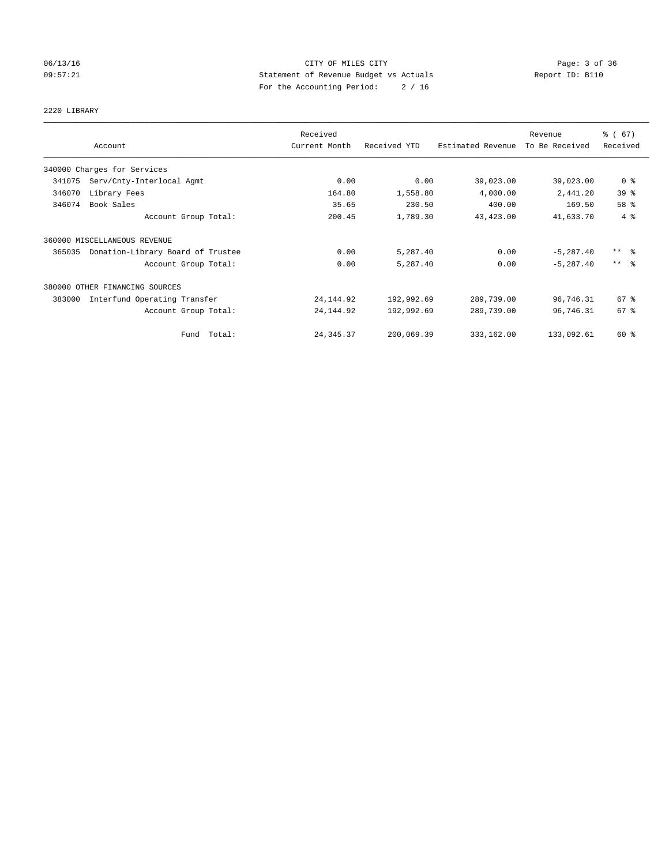## 06/13/16 CITY OF MILES CITY Page: 3 of 36 09:57:21 Statement of Revenue Budget vs Actuals Report ID: B110 For the Accounting Period: 2 / 16

# 2220 LIBRARY

|        |                                   | Received      |              |                   | Revenue        | % (67)              |
|--------|-----------------------------------|---------------|--------------|-------------------|----------------|---------------------|
|        | Account                           | Current Month | Received YTD | Estimated Revenue | To Be Received | Received            |
|        | 340000 Charges for Services       |               |              |                   |                |                     |
| 341075 | Serv/Cnty-Interlocal Agmt         | 0.00          | 0.00         | 39,023.00         | 39,023.00      | 0 <sup>8</sup>      |
| 346070 | Library Fees                      | 164.80        | 1,558.80     | 4,000.00          | 2,441.20       | 39%                 |
| 346074 | Book Sales                        | 35.65         | 230.50       | 400.00            | 169.50         | 58 %                |
|        | Account Group Total:              | 200.45        | 1,789.30     | 43,423.00         | 41,633.70      | 4%                  |
|        | 360000 MISCELLANEOUS REVENUE      |               |              |                   |                |                     |
| 365035 | Donation-Library Board of Trustee | 0.00          | 5,287.40     | 0.00              | $-5, 287.40$   | $***$ $\frac{6}{5}$ |
|        | Account Group Total:              | 0.00          | 5,287.40     | 0.00              | $-5, 287.40$   | $***$ $\frac{6}{5}$ |
|        | 380000 OTHER FINANCING SOURCES    |               |              |                   |                |                     |
| 383000 | Interfund Operating Transfer      | 24, 144.92    | 192,992.69   | 289,739.00        | 96,746.31      | $67*$               |
|        | Account Group Total:              | 24, 144.92    | 192,992.69   | 289,739.00        | 96,746.31      | 67 %                |
|        | Fund Total:                       | 24, 345.37    | 200,069.39   | 333,162.00        | 133,092.61     | 60 %                |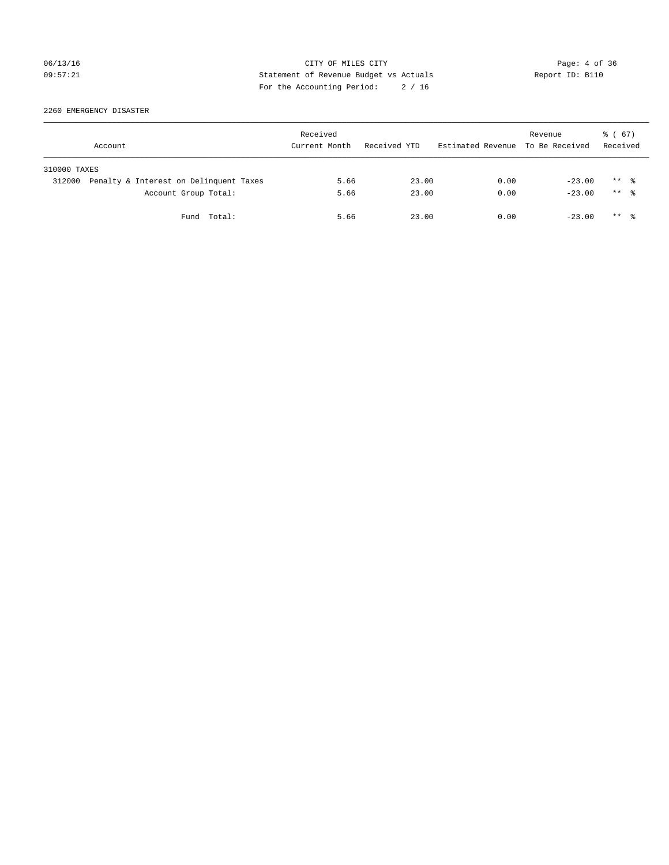## 06/13/16 CITY OF MILES CITY Page: 4 of 36 09:57:21 Statement of Revenue Budget vs Actuals Report ID: B110 For the Accounting Period: 2 / 16

2260 EMERGENCY DISASTER

|              | Account                                | Received<br>Current Month | Received YTD | Estimated Revenue To Be Received | Revenue  | 8 ( 67)<br>Received  |  |
|--------------|----------------------------------------|---------------------------|--------------|----------------------------------|----------|----------------------|--|
| 310000 TAXES |                                        |                           |              |                                  |          |                      |  |
| 312000       | Penalty & Interest on Delinquent Taxes | 5.66                      | 23.00        | 0.00                             | $-23.00$ | $***$ %              |  |
|              | Account Group Total:                   | 5.66                      | 23.00        | 0.00                             | $-23.00$ | $***$ $\frac{6}{10}$ |  |
|              | Fund Total:                            | 5.66                      | 23.00        | 0.00                             | $-23.00$ | $***$ $\frac{6}{10}$ |  |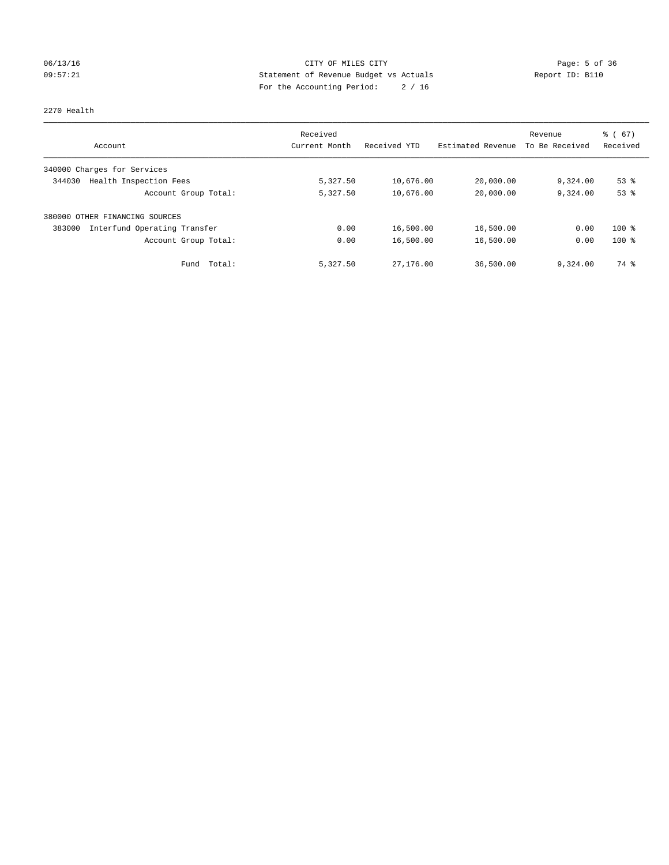## 06/13/16 CITY OF MILES CITY Page: 5 of 36 09:57:21 Statement of Revenue Budget vs Actuals Report ID: B110 For the Accounting Period: 2 / 16

#### 2270 Health

| Account                                | Received<br>Current Month | Received YTD | Estimated Revenue | Revenue<br>To Be Received | $\frac{6}{6}$ (67)<br>Received |
|----------------------------------------|---------------------------|--------------|-------------------|---------------------------|--------------------------------|
|                                        |                           |              |                   |                           |                                |
| 340000 Charges for Services            |                           |              |                   |                           |                                |
| Health Inspection Fees<br>344030       | 5,327.50                  | 10,676.00    | 20,000.00         | 9,324.00                  | $53$ $%$                       |
| Account Group Total:                   | 5,327.50                  | 10,676.00    | 20,000.00         | 9,324.00                  | 53%                            |
| 380000 OTHER FINANCING SOURCES         |                           |              |                   |                           |                                |
| Interfund Operating Transfer<br>383000 | 0.00                      | 16,500.00    | 16,500.00         | 0.00                      | $100*$                         |
| Account Group Total:                   | 0.00                      | 16,500.00    | 16,500.00         | 0.00                      | $100$ %                        |
| Total:<br>Fund                         | 5,327.50                  | 27,176.00    | 36,500.00         | 9,324.00                  | 74 %                           |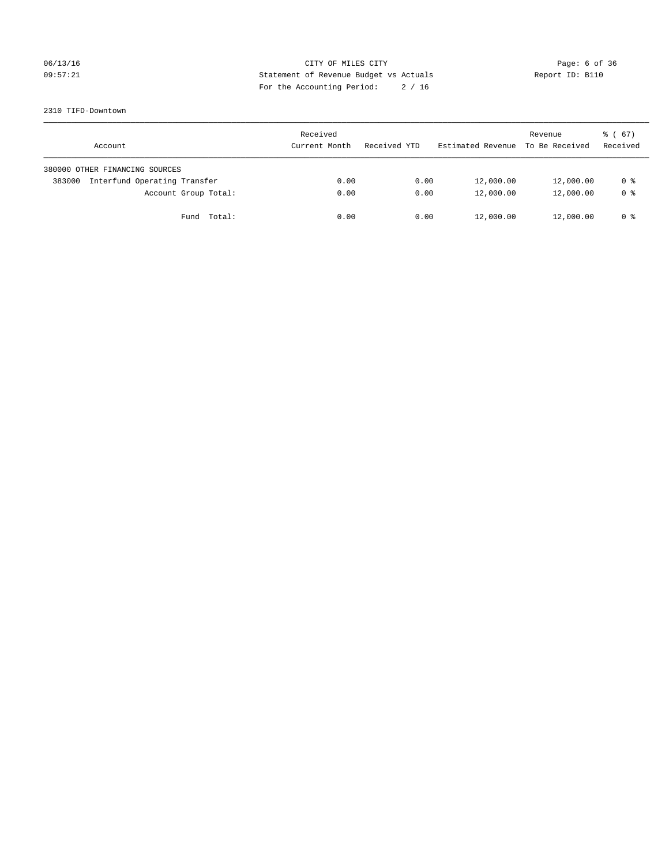## 06/13/16 CITY OF MILES CITY Page: 6 of 36 09:57:21 Statement of Revenue Budget vs Actuals Report ID: B110 For the Accounting Period: 2 / 16

#### 2310 TIFD-Downtown

| Account                                | Received<br>Current Month | Received YTD | Estimated Revenue | Revenue<br>To Be Received | $\frac{3}{6}$ (67)<br>Received |
|----------------------------------------|---------------------------|--------------|-------------------|---------------------------|--------------------------------|
| 380000 OTHER FINANCING SOURCES         |                           |              |                   |                           |                                |
| Interfund Operating Transfer<br>383000 | 0.00                      | 0.00         | 12,000.00         | 12,000.00                 | 0 %                            |
| Account Group Total:                   | 0.00                      | 0.00         | 12,000.00         | 12,000.00                 | 0 <sup>8</sup>                 |
| Fund Total:                            | 0.00                      | 0.00         | 12,000.00         | 12,000.00                 | 0 %                            |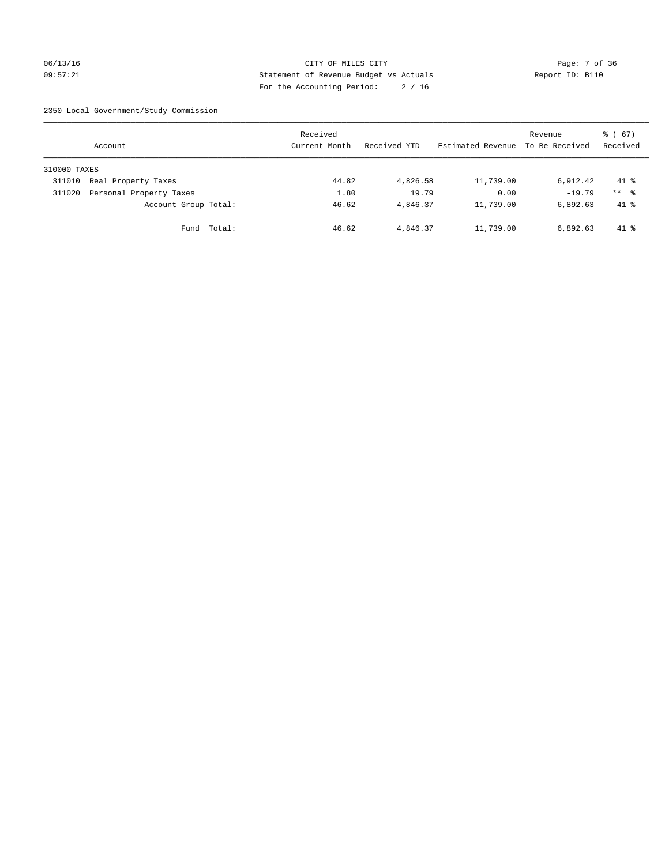## 06/13/16 CITY OF MILES CITY Page: 7 of 36 09:57:21 Statement of Revenue Budget vs Actuals Report ID: B110 For the Accounting Period: 2 / 16

2350 Local Government/Study Commission

|              | Account                 |             | Received<br>Current Month |       | Received YTD | Estimated Revenue | Revenue<br>To Be Received | 8 ( 67)<br>Received |
|--------------|-------------------------|-------------|---------------------------|-------|--------------|-------------------|---------------------------|---------------------|
| 310000 TAXES |                         |             |                           |       |              |                   |                           |                     |
| 311010       | Real Property Taxes     |             |                           | 44.82 | 4,826.58     | 11,739.00         | 6,912.42                  | $41*$               |
| 311020       | Personal Property Taxes |             |                           | 1.80  | 19.79        | 0.00              | $-19.79$                  | $***$ $\frac{6}{5}$ |
|              | Account Group Total:    |             |                           | 46.62 | 4,846.37     | 11,739.00         | 6,892.63                  | $41*$               |
|              |                         | Fund Total: |                           | 46.62 | 4,846.37     | 11,739.00         | 6,892.63                  | $41*$               |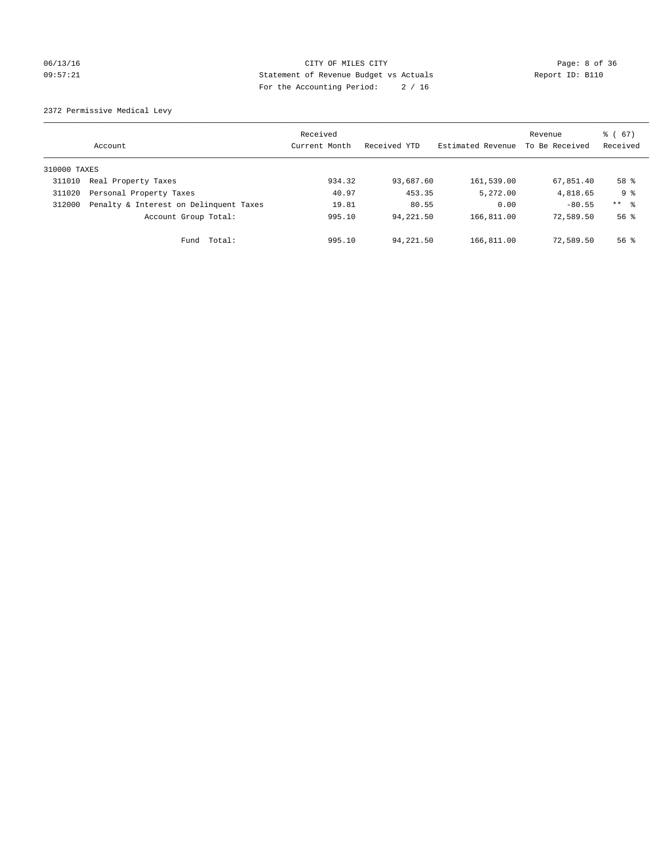## 06/13/16 CITY OF MILES CITY Page: 8 of 36 09:57:21 Statement of Revenue Budget vs Actuals Report ID: B110 For the Accounting Period: 2 / 16

2372 Permissive Medical Levy

|              | Account                                | Received<br>Current Month | Received YTD | Estimated Revenue | Revenue<br>To Be Received | $\frac{6}{6}$ (67)<br>Received |
|--------------|----------------------------------------|---------------------------|--------------|-------------------|---------------------------|--------------------------------|
| 310000 TAXES |                                        |                           |              |                   |                           |                                |
| 311010       | Real Property Taxes                    | 934.32                    | 93,687.60    | 161,539.00        | 67,851.40                 | 58 %                           |
| 311020       | Personal Property Taxes                | 40.97                     | 453.35       | 5,272.00          | 4,818.65                  | 9 %                            |
| 312000       | Penalty & Interest on Delinquent Taxes | 19.81                     | 80.55        | 0.00              | $-80.55$                  | $***$ $\frac{6}{5}$            |
|              | Account Group Total:                   | 995.10                    | 94,221.50    | 166,811.00        | 72,589.50                 | $56$ $\frac{6}{3}$             |
|              | Fund Total:                            | 995.10                    | 94,221.50    | 166,811.00        | 72,589.50                 | $56$ $\frac{6}{3}$             |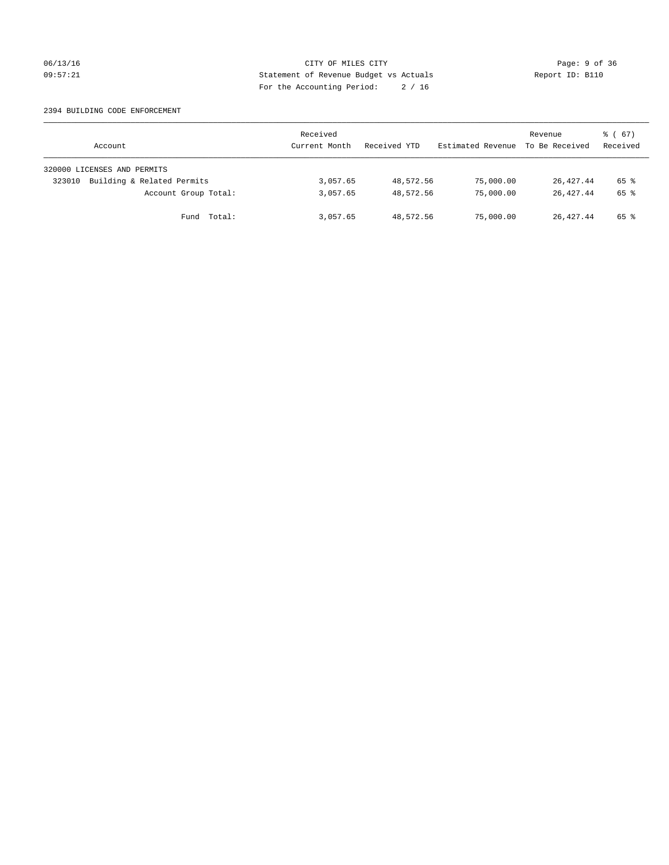## 06/13/16 CITY OF MILES CITY Page: 9 of 36 09:57:21 Statement of Revenue Budget vs Actuals Report ID: B110 For the Accounting Period: 2 / 16

#### 2394 BUILDING CODE ENFORCEMENT

| Account                              | Received<br>Current Month | Received YTD | Estimated Revenue | Revenue<br>To Be Received | 8 ( 67)<br>Received |
|--------------------------------------|---------------------------|--------------|-------------------|---------------------------|---------------------|
| 320000 LICENSES AND PERMITS          |                           |              |                   |                           |                     |
| Building & Related Permits<br>323010 | 3,057.65                  | 48,572.56    | 75,000.00         | 26,427.44                 | 65 %                |
| Account Group Total:                 | 3,057.65                  | 48,572.56    | 75,000.00         | 26,427.44                 | 65 %                |
| Fund Total:                          | 3,057.65                  | 48,572.56    | 75,000.00         | 26,427.44                 | 65 %                |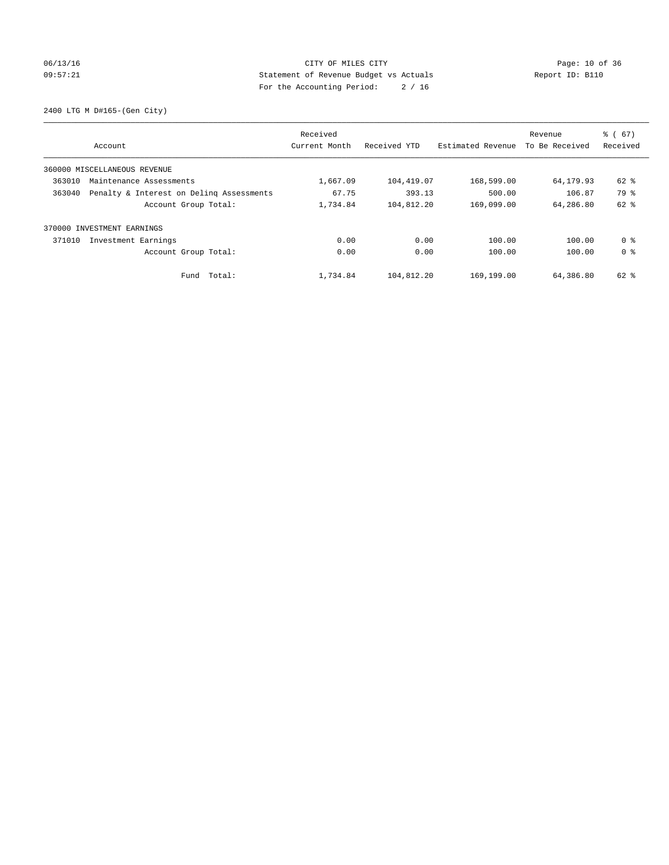## 06/13/16 Page: 10 of 36 09:57:21 Statement of Revenue Budget vs Actuals Report ID: B110 For the Accounting Period: 2 / 16

2400 LTG M D#165-(Gen City)

|                                                    | Received      |              |                   | Revenue        | $\frac{6}{6}$ (67) |
|----------------------------------------------------|---------------|--------------|-------------------|----------------|--------------------|
| Account                                            | Current Month | Received YTD | Estimated Revenue | To Be Received | Received           |
| 360000 MISCELLANEOUS REVENUE                       |               |              |                   |                |                    |
| 363010<br>Maintenance Assessments                  | 1,667.09      | 104,419.07   | 168,599.00        | 64,179.93      | 62 %               |
| 363040<br>Penalty & Interest on Deling Assessments | 67.75         | 393.13       | 500.00            | 106.87         | 79 %               |
| Account Group Total:                               | 1,734.84      | 104,812.20   | 169,099.00        | 64,286.80      | $62$ $%$           |
| 370000 INVESTMENT EARNINGS                         |               |              |                   |                |                    |
| 371010<br>Investment Earnings                      | 0.00          | 0.00         | 100.00            | 100.00         | 0 %                |
| Account Group Total:                               | 0.00          | 0.00         | 100.00            | 100.00         | 0 <sup>8</sup>     |
| Total:<br>Fund                                     | 1,734.84      | 104,812.20   | 169,199.00        | 64,386.80      | 62 %               |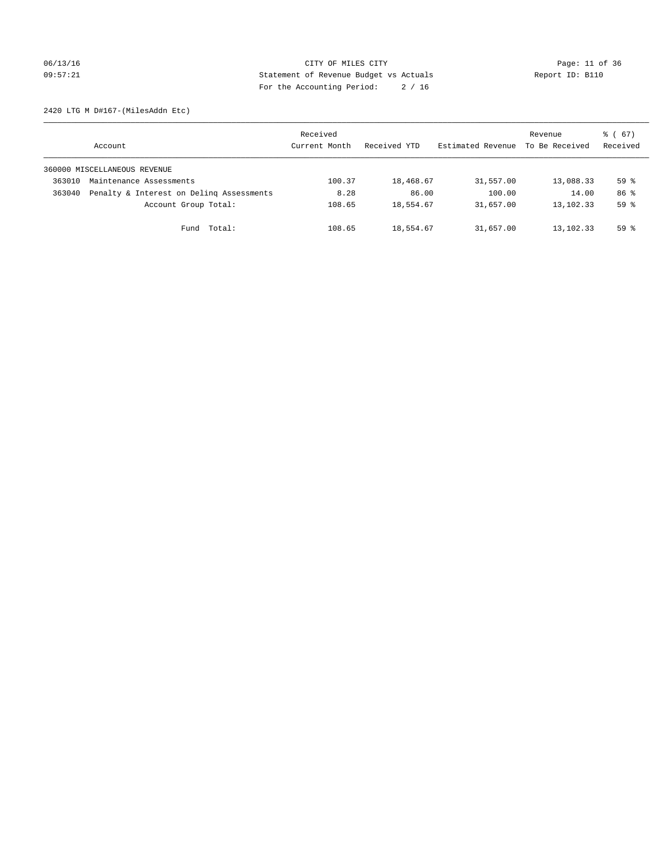## 06/13/16 Page: 11 of 36 09:57:21 Statement of Revenue Budget vs Actuals Report ID: B110 For the Accounting Period: 2 / 16

2420 LTG M D#167-(MilesAddn Etc)

|        | Account                                  | Received<br>Current Month | Received YTD | Estimated Revenue | Revenue<br>To Be Received | $\frac{3}{6}$ (67)<br>Received |
|--------|------------------------------------------|---------------------------|--------------|-------------------|---------------------------|--------------------------------|
|        | 360000 MISCELLANEOUS REVENUE             |                           |              |                   |                           |                                |
| 363010 | Maintenance Assessments                  | 100.37                    | 18,468.67    | 31,557.00         | 13,088.33                 | 59 <sup>°</sup>                |
| 363040 | Penalty & Interest on Deling Assessments | 8.28                      | 86.00        | 100.00            | 14.00                     | 86 %                           |
|        | Account Group Total:                     | 108.65                    | 18,554.67    | 31,657.00         | 13,102.33                 | 59 <sup>°</sup>                |
|        | Fund Total:                              | 108.65                    | 18,554.67    | 31,657.00         | 13,102.33                 | $59*$                          |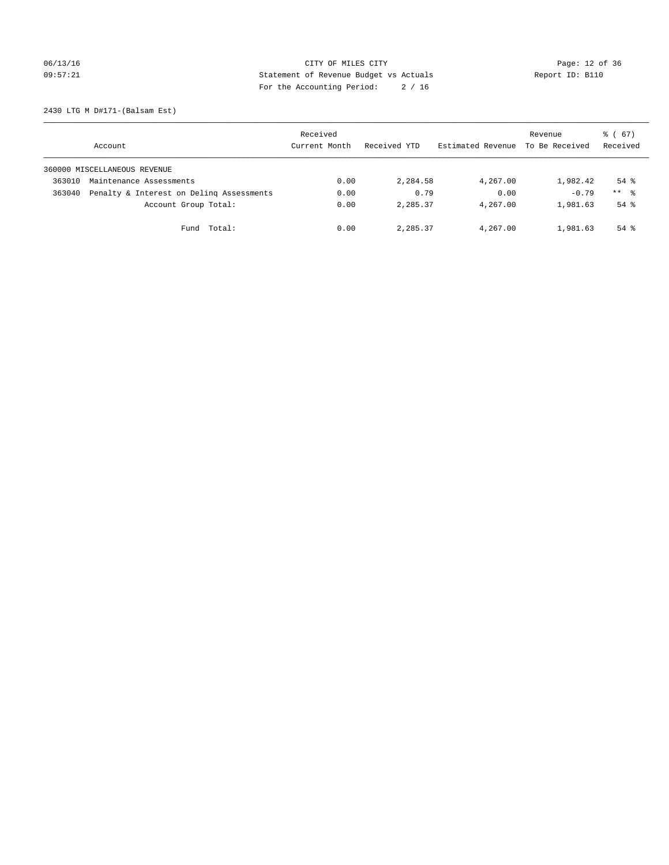06/13/16 Page: 12 of 36 09:57:21 Statement of Revenue Budget vs Actuals Report ID: B110 For the Accounting Period: 2 / 16

2430 LTG M D#171-(Balsam Est)

|        | Account                                  | Received<br>Current Month | Received YTD | Estimated Revenue | Revenue<br>To Be Received | $\frac{3}{6}$ (67)<br>Received |
|--------|------------------------------------------|---------------------------|--------------|-------------------|---------------------------|--------------------------------|
|        | 360000 MISCELLANEOUS REVENUE             |                           |              |                   |                           |                                |
| 363010 | Maintenance Assessments                  | 0.00                      | 2,284.58     | 4,267.00          | 1,982.42                  | $54$ $\frac{6}{3}$             |
| 363040 | Penalty & Interest on Deling Assessments | 0.00                      | 0.79         | 0.00              | $-0.79$                   | $***$ $\frac{6}{5}$            |
|        | Account Group Total:                     | 0.00                      | 2,285.37     | 4,267.00          | 1,981.63                  | $54$ $\frac{6}{3}$             |
|        | Fund Total:                              | 0.00                      | 2,285.37     | 4,267.00          | 1,981.63                  | $54$ $\frac{6}{3}$             |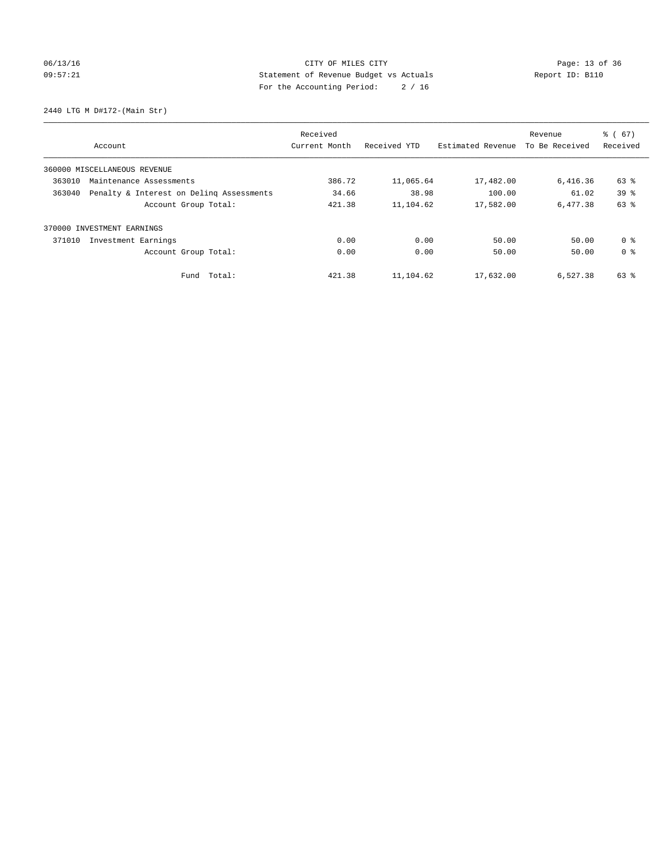## 06/13/16 Page: 13 of 36 09:57:21 Statement of Revenue Budget vs Actuals Report ID: B110 For the Accounting Period: 2 / 16

2440 LTG M D#172-(Main Str)

|        |                                          | Received      |              |                   | Revenue        | $\frac{6}{6}$ (67) |
|--------|------------------------------------------|---------------|--------------|-------------------|----------------|--------------------|
|        | Account                                  | Current Month | Received YTD | Estimated Revenue | To Be Received | Received           |
|        | 360000 MISCELLANEOUS REVENUE             |               |              |                   |                |                    |
| 363010 | Maintenance Assessments                  | 386.72        | 11,065.64    | 17,482.00         | 6,416.36       | 63 %               |
| 363040 | Penalty & Interest on Deling Assessments | 34.66         | 38.98        | 100.00            | 61.02          | 39 <sup>8</sup>    |
|        | Account Group Total:                     | 421.38        | 11,104.62    | 17,582.00         | 6,477.38       | 63 %               |
| 370000 | INVESTMENT EARNINGS                      |               |              |                   |                |                    |
| 371010 | Investment Earnings                      | 0.00          | 0.00         | 50.00             | 50.00          | 0 <sup>8</sup>     |
|        | Account Group Total:                     | 0.00          | 0.00         | 50.00             | 50.00          | 0 <sup>8</sup>     |
|        | Fund Total:                              | 421.38        | 11,104.62    | 17,632.00         | 6.527.38       | 63 %               |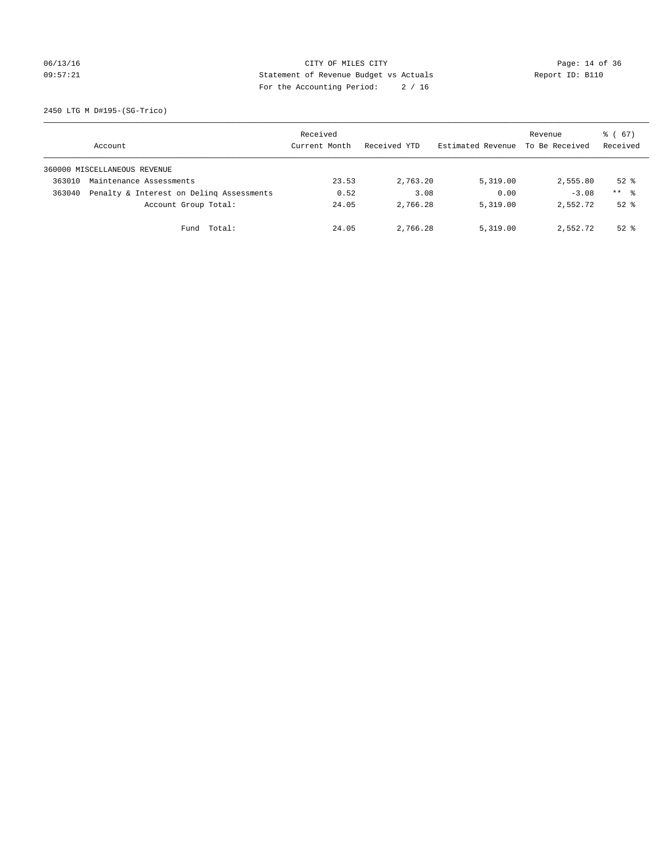## 06/13/16 Page: 14 of 36 09:57:21 Statement of Revenue Budget vs Actuals Report ID: B110 For the Accounting Period: 2 / 16

2450 LTG M D#195-(SG-Trico)

|        | Account                                  | Received<br>Current Month | Received YTD | Estimated Revenue | Revenue<br>To Be Received | $\frac{3}{6}$ (67)<br>Received |
|--------|------------------------------------------|---------------------------|--------------|-------------------|---------------------------|--------------------------------|
|        | 360000 MISCELLANEOUS REVENUE             |                           |              |                   |                           |                                |
| 363010 | Maintenance Assessments                  | 23.53                     | 2,763.20     | 5,319.00          | 2,555.80                  | $52*$                          |
| 363040 | Penalty & Interest on Deling Assessments | 0.52                      | 3.08         | 0.00              | $-3.08$                   | $***$ $\frac{6}{5}$            |
|        | Account Group Total:                     | 24.05                     | 2,766.28     | 5,319.00          | 2,552.72                  | $52*$                          |
|        | Fund Total:                              | 24.05                     | 2,766.28     | 5,319.00          | 2,552.72                  | $52*$                          |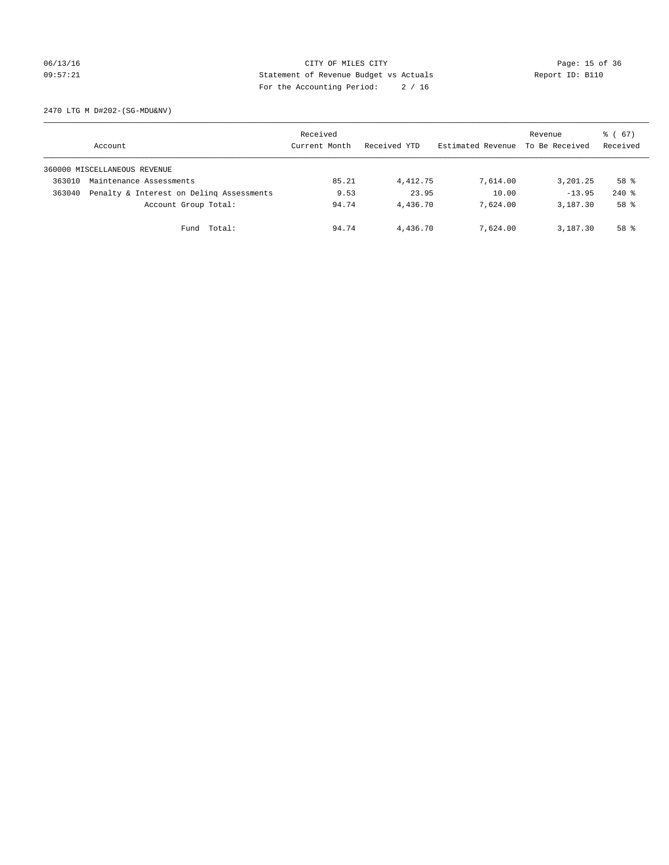## 06/13/16 Page: 15 of 36 09:57:21 Statement of Revenue Budget vs Actuals Report ID: B110 For the Accounting Period: 2 / 16

2470 LTG M D#202-(SG-MDU&NV)

|        | Account                                  | Received<br>Current Month | Received YTD | Estimated Revenue | Revenue<br>To Be Received | $\frac{3}{6}$ (67)<br>Received |
|--------|------------------------------------------|---------------------------|--------------|-------------------|---------------------------|--------------------------------|
|        | 360000 MISCELLANEOUS REVENUE             |                           |              |                   |                           |                                |
| 363010 | Maintenance Assessments                  | 85.21                     | 4,412.75     | 7,614.00          | 3,201.25                  | 58 %                           |
| 363040 | Penalty & Interest on Deling Assessments | 9.53                      | 23.95        | 10.00             | $-13.95$                  | $240$ %                        |
|        | Account Group Total:                     | 94.74                     | 4,436.70     | 7,624.00          | 3,187.30                  | 58 %                           |
|        | Fund Total:                              | 94.74                     | 4,436.70     | 7,624.00          | 3,187.30                  | 58 %                           |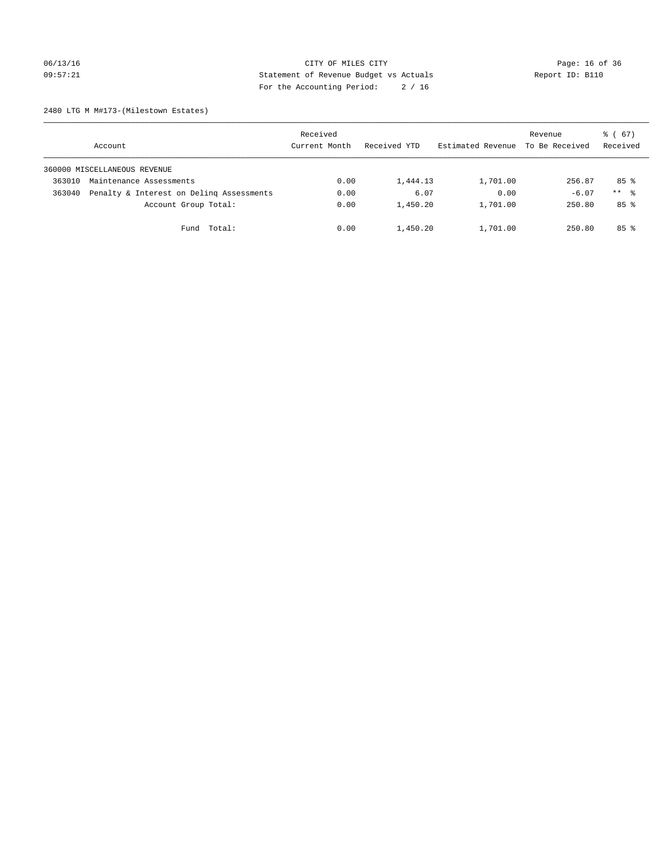## 06/13/16 Page: 16 of 36 09:57:21 Statement of Revenue Budget vs Actuals Report ID: B110 For the Accounting Period: 2 / 16

2480 LTG M M#173-(Milestown Estates)

|        | Account                                  | Received<br>Current Month | Received YTD | Estimated Revenue | Revenue<br>To Be Received | $\frac{3}{6}$ (67)<br>Received |
|--------|------------------------------------------|---------------------------|--------------|-------------------|---------------------------|--------------------------------|
|        | 360000 MISCELLANEOUS REVENUE             |                           |              |                   |                           |                                |
| 363010 | Maintenance Assessments                  | 0.00                      | 1,444.13     | 1,701.00          | 256.87                    | 85%                            |
| 363040 | Penalty & Interest on Deling Assessments | 0.00                      | 6.07         | 0.00              | $-6.07$                   | $***$ %                        |
|        | Account Group Total:                     | 0.00                      | 1,450.20     | 1,701.00          | 250.80                    | 85%                            |
|        | Fund Total:                              | 0.00                      | 1,450.20     | 1,701.00          | 250.80                    | 85%                            |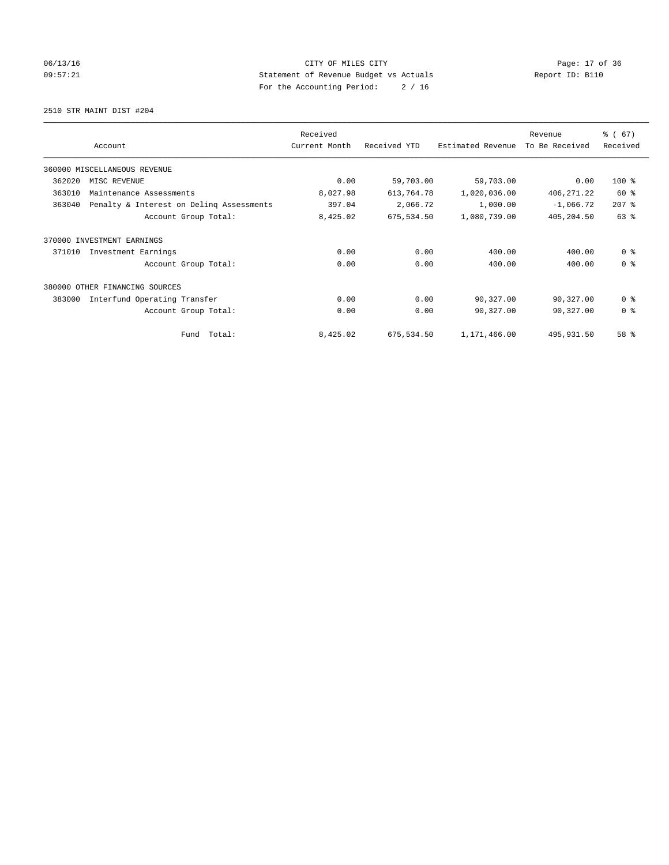## 06/13/16 Page: 17 of 36 09:57:21 Statement of Revenue Budget vs Actuals Report ID: B110 For the Accounting Period: 2 / 16

2510 STR MAINT DIST #204

|        |                                          | Received      |              |                   | Revenue        | % (67)         |
|--------|------------------------------------------|---------------|--------------|-------------------|----------------|----------------|
|        | Account                                  | Current Month | Received YTD | Estimated Revenue | To Be Received | Received       |
|        | 360000 MISCELLANEOUS REVENUE             |               |              |                   |                |                |
| 362020 | MISC REVENUE                             | 0.00          | 59,703.00    | 59,703.00         | 0.00           | 100 %          |
| 363010 | Maintenance Assessments                  | 8,027.98      | 613,764.78   | 1,020,036.00      | 406, 271.22    | 60 %           |
| 363040 | Penalty & Interest on Deling Assessments | 397.04        | 2,066.72     | 1,000.00          | $-1,066.72$    | $207$ %        |
|        | Account Group Total:                     | 8,425.02      | 675,534.50   | 1,080,739.00      | 405,204.50     | 63 %           |
| 370000 | INVESTMENT EARNINGS                      |               |              |                   |                |                |
| 371010 | Investment Earnings                      | 0.00          | 0.00         | 400.00            | 400.00         | 0 <sup>8</sup> |
|        | Account Group Total:                     | 0.00          | 0.00         | 400.00            | 400.00         | 0 <sup>8</sup> |
|        | 380000 OTHER FINANCING SOURCES           |               |              |                   |                |                |
| 383000 | Interfund Operating Transfer             | 0.00          | 0.00         | 90,327.00         | 90,327.00      | 0 <sup>8</sup> |
|        | Account Group Total:                     | 0.00          | 0.00         | 90,327.00         | 90,327.00      | 0 <sup>8</sup> |
|        | Fund Total:                              | 8,425.02      | 675,534.50   | 1,171,466.00      | 495,931.50     | 58 %           |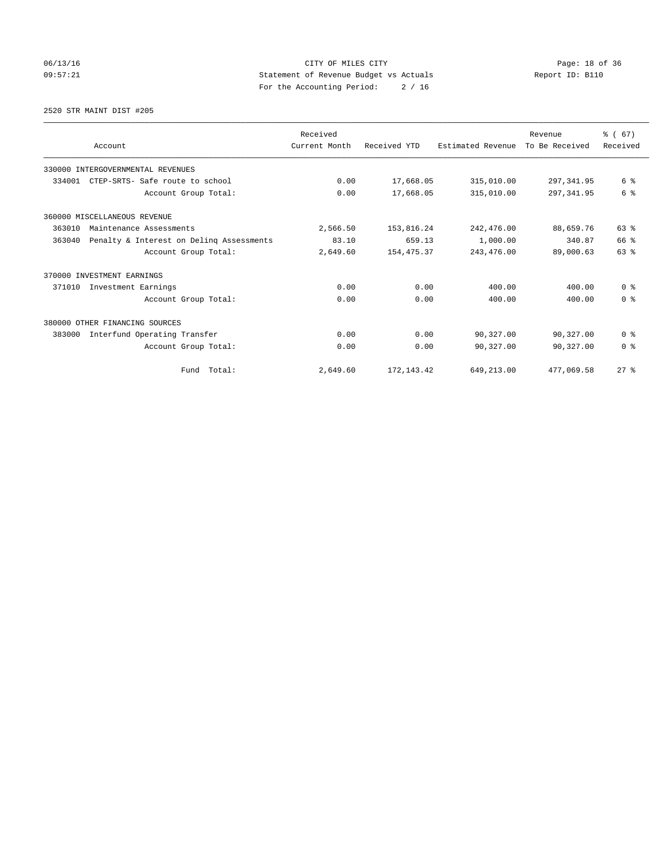06/13/16 Page: 18 of 36 09:57:21 Statement of Revenue Budget vs Actuals Report ID: B110 For the Accounting Period: 2 / 16

#### 2520 STR MAINT DIST #205

|        | Account                                  | Received<br>Current Month | Received YTD | Estimated Revenue | Revenue<br>To Be Received | % (67)<br>Received |
|--------|------------------------------------------|---------------------------|--------------|-------------------|---------------------------|--------------------|
|        | 330000 INTERGOVERNMENTAL REVENUES        |                           |              |                   |                           |                    |
| 334001 | CTEP-SRTS- Safe route to school          | 0.00                      | 17,668.05    | 315,010.00        | 297, 341.95               | 6 %                |
|        | Account Group Total:                     | 0.00                      | 17,668.05    | 315,010.00        | 297, 341.95               | 6 %                |
|        | 360000 MISCELLANEOUS REVENUE             |                           |              |                   |                           |                    |
| 363010 | Maintenance Assessments                  | 2,566.50                  | 153,816.24   | 242,476.00        | 88,659.76                 | 63 %               |
| 363040 | Penalty & Interest on Deling Assessments | 83.10                     | 659.13       | 1,000.00          | 340.87                    | 66 %               |
|        | Account Group Total:                     | 2,649.60                  | 154, 475.37  | 243,476.00        | 89,000.63                 | 63 %               |
|        | 370000 INVESTMENT EARNINGS               |                           |              |                   |                           |                    |
| 371010 | Investment Earnings                      | 0.00                      | 0.00         | 400.00            | 400.00                    | 0 <sup>8</sup>     |
|        | Account Group Total:                     | 0.00                      | 0.00         | 400.00            | 400.00                    | 0 <sup>8</sup>     |
|        | 380000 OTHER FINANCING SOURCES           |                           |              |                   |                           |                    |
| 383000 | Interfund Operating Transfer             | 0.00                      | 0.00         | 90,327.00         | 90,327.00                 | 0 <sup>8</sup>     |
|        | Account Group Total:                     | 0.00                      | 0.00         | 90,327.00         | 90,327.00                 | 0 <sup>8</sup>     |
|        | Fund Total:                              | 2,649.60                  | 172, 143.42  | 649,213.00        | 477,069.58                | $27$ $%$           |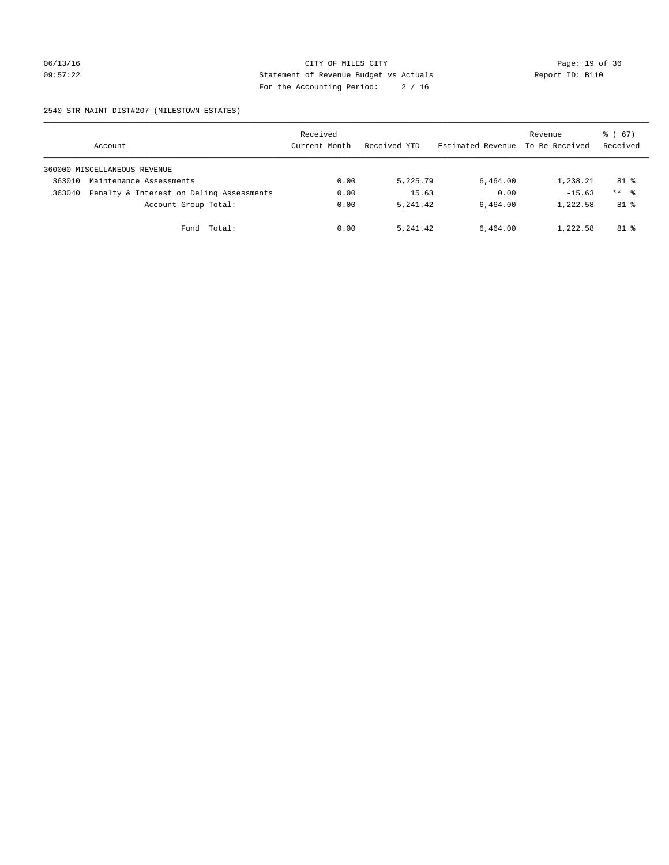#### 06/13/16 Page: 19 of 36 09:57:22 Statement of Revenue Budget vs Actuals Report ID: B110 For the Accounting Period: 2 / 16

2540 STR MAINT DIST#207-(MILESTOWN ESTATES)

|        | Account                                  | Received<br>Current Month | Received YTD | Estimated Revenue | Revenue<br>To Be Received | 8 ( 67)<br>Received |
|--------|------------------------------------------|---------------------------|--------------|-------------------|---------------------------|---------------------|
|        | 360000 MISCELLANEOUS REVENUE             |                           |              |                   |                           |                     |
| 363010 | Maintenance Assessments                  | 0.00                      | 5,225.79     | 6,464.00          | 1,238.21                  | $81$ %              |
| 363040 | Penalty & Interest on Deling Assessments | 0.00                      | 15.63        | 0.00              | $-15.63$                  | $***$ %             |
|        | Account Group Total:                     | 0.00                      | 5, 241, 42   | 6.464.00          | 1,222.58                  | $81$ %              |
|        | Fund Total:                              | 0.00                      | 5, 241, 42   | 6,464.00          | 1,222.58                  | $81$ %              |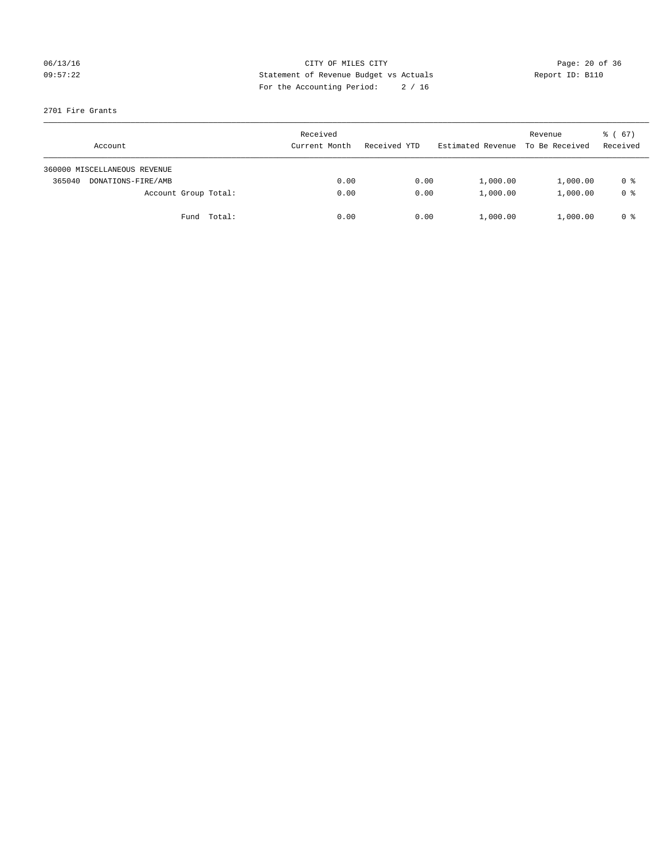## 06/13/16 Page: 20 of 36 09:57:22 Statement of Revenue Budget vs Actuals Report ID: B110 For the Accounting Period: 2 / 16

#### 2701 Fire Grants

| Account                      | Received<br>Current Month | Received YTD | Estimated Revenue | Revenue<br>To Be Received | $\frac{1}{6}$ (67)<br>Received |
|------------------------------|---------------------------|--------------|-------------------|---------------------------|--------------------------------|
| 360000 MISCELLANEOUS REVENUE |                           |              |                   |                           |                                |
| 365040<br>DONATIONS-FIRE/AMB | 0.00                      | 0.00         | 1,000.00          | 1,000.00                  | 0 %                            |
| Account Group Total:         | 0.00                      | 0.00         | 1,000.00          | 1,000.00                  | 0 <sup>8</sup>                 |
| Fund Total:                  | 0.00                      | 0.00         | 1,000.00          | 1,000.00                  | 0 %                            |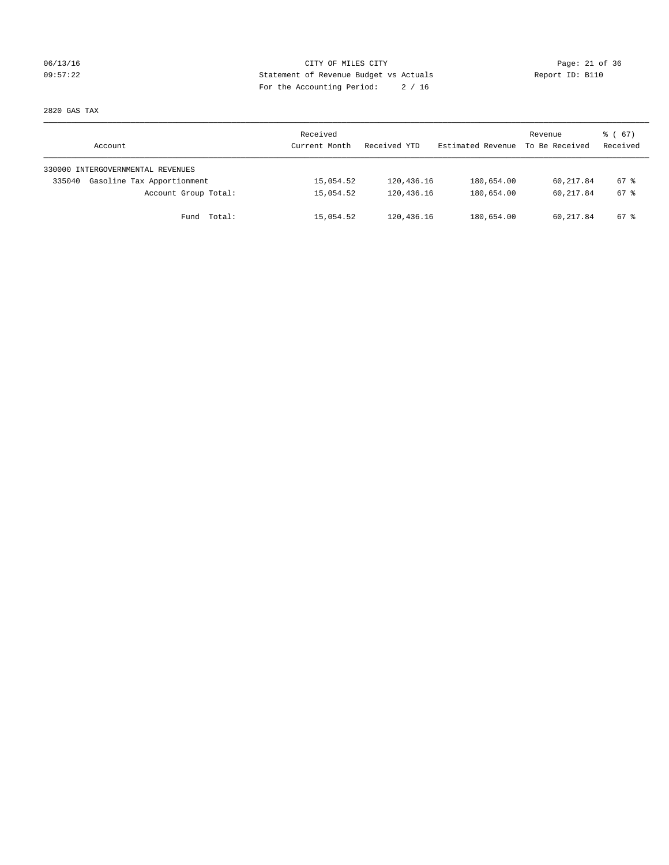## 06/13/16 Page: 21 of 36 09:57:22 Statement of Revenue Budget vs Actuals Report ID: B110 For the Accounting Period: 2 / 16

2820 GAS TAX

| Account                              | Received<br>Current Month | Received YTD | Estimated Revenue | Revenue<br>To Be Received | 8 ( 67)<br>Received |
|--------------------------------------|---------------------------|--------------|-------------------|---------------------------|---------------------|
| 330000 INTERGOVERNMENTAL REVENUES    |                           |              |                   |                           |                     |
| Gasoline Tax Apportionment<br>335040 | 15,054.52                 | 120,436.16   | 180,654.00        | 60,217.84                 | $67*$               |
| Account Group Total:                 | 15,054.52                 | 120,436.16   | 180,654.00        | 60,217.84                 | $67*$               |
| Fund Total:                          | 15,054.52                 | 120,436.16   | 180,654.00        | 60,217.84                 | 67 %                |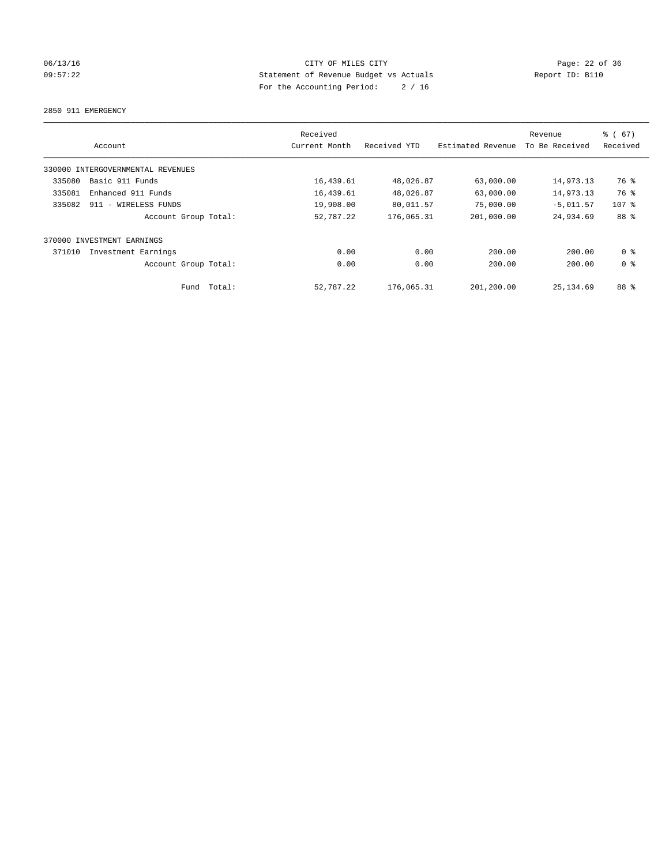## 06/13/16 Page: 22 of 36 09:57:22 Statement of Revenue Budget vs Actuals Report ID: B110 For the Accounting Period: 2 / 16

2850 911 EMERGENCY

| Account                           | Received<br>Current Month | Received YTD | Estimated Revenue | Revenue<br>To Be Received | % (67)<br>Received |
|-----------------------------------|---------------------------|--------------|-------------------|---------------------------|--------------------|
| 330000 INTERGOVERNMENTAL REVENUES |                           |              |                   |                           |                    |
| Basic 911 Funds<br>335080         | 16,439.61                 | 48,026.87    | 63,000.00         | 14,973.13                 | 76 %               |
| 335081<br>Enhanced 911 Funds      | 16,439.61                 | 48,026.87    | 63,000.00         | 14,973.13                 | 76 %               |
| 335082<br>911 - WIRELESS FUNDS    | 19,908.00                 | 80,011.57    | 75,000.00         | $-5,011.57$               | $107$ %            |
| Account Group Total:              | 52,787.22                 | 176,065.31   | 201,000.00        | 24,934.69                 | 88 %               |
| INVESTMENT EARNINGS<br>370000     |                           |              |                   |                           |                    |
| 371010<br>Investment Earnings     | 0.00                      | 0.00         | 200.00            | 200.00                    | 0 <sup>8</sup>     |
| Account Group Total:              | 0.00                      | 0.00         | 200.00            | 200.00                    | 0 <sup>8</sup>     |
| Total:<br>Fund                    | 52,787.22                 | 176,065.31   | 201,200.00        | 25, 134, 69               | 88 %               |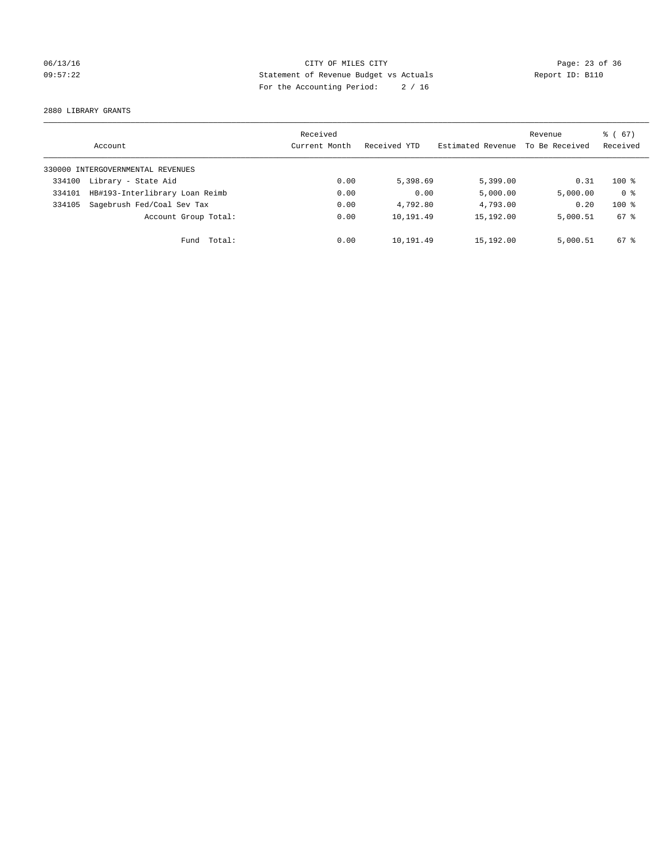## 06/13/16 Page: 23 of 36 09:57:22 Statement of Revenue Budget vs Actuals Report ID: B110 For the Accounting Period: 2 / 16

2880 LIBRARY GRANTS

|        | Account                           | Received<br>Current Month | Received YTD | Estimated Revenue | Revenue<br>To Be Received | $\frac{6}{6}$ (67)<br>Received |
|--------|-----------------------------------|---------------------------|--------------|-------------------|---------------------------|--------------------------------|
|        | 330000 INTERGOVERNMENTAL REVENUES |                           |              |                   |                           |                                |
| 334100 | Library - State Aid               | 0.00                      | 5,398.69     | 5,399.00          | 0.31                      | $100*$                         |
| 334101 | HB#193-Interlibrary Loan Reimb    | 0.00                      | 0.00         | 5,000.00          | 5,000.00                  | 0 <sup>8</sup>                 |
| 334105 | Sagebrush Fed/Coal Sev Tax        | 0.00                      | 4,792.80     | 4,793.00          | 0.20                      | $100*$                         |
|        | Account Group Total:              | 0.00                      | 10,191.49    | 15,192.00         | 5,000.51                  | 67 %                           |
|        | Fund Total:                       | 0.00                      | 10,191.49    | 15,192.00         | 5,000.51                  | $67*$                          |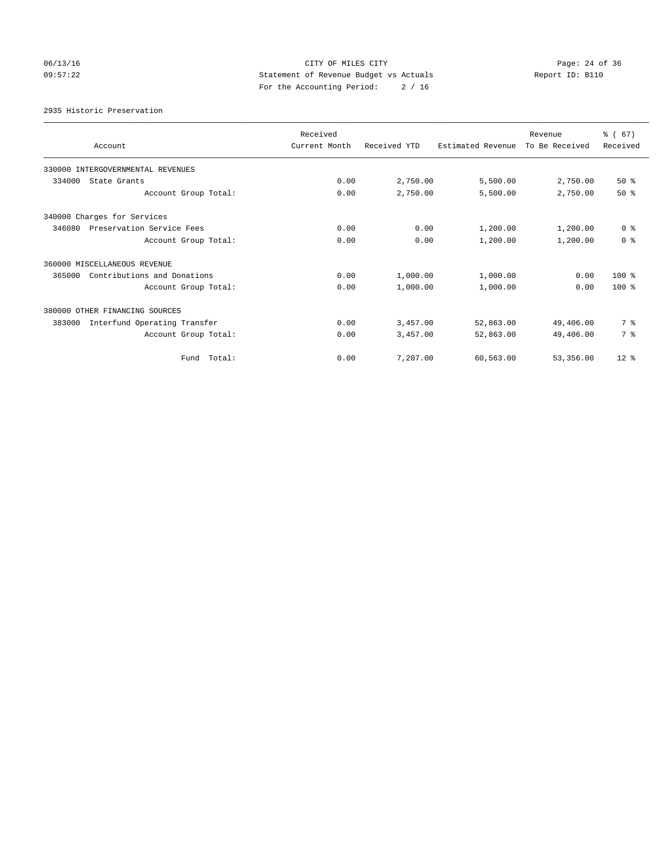## 06/13/16 Page: 24 of 36 09:57:22 Statement of Revenue Budget vs Actuals Report ID: B110 For the Accounting Period: 2 / 16

2935 Historic Preservation

| Account                                | Received<br>Current Month | Received YTD | Estimated Revenue | Revenue<br>To Be Received | % (67)<br>Received |
|----------------------------------------|---------------------------|--------------|-------------------|---------------------------|--------------------|
| 330000 INTERGOVERNMENTAL REVENUES      |                           |              |                   |                           |                    |
| 334000<br>State Grants                 | 0.00                      | 2,750.00     | 5,500.00          | 2,750.00                  | 50%                |
| Account Group Total:                   | 0.00                      | 2,750.00     | 5,500.00          | 2,750.00                  | $50*$              |
| 340000 Charges for Services            |                           |              |                   |                           |                    |
| 346080<br>Preservation Service Fees    | 0.00                      | 0.00         | 1,200.00          | 1,200.00                  | 0 <sup>8</sup>     |
| Account Group Total:                   | 0.00                      | 0.00         | 1,200.00          | 1,200.00                  | 0 <sup>8</sup>     |
| 360000 MISCELLANEOUS REVENUE           |                           |              |                   |                           |                    |
| Contributions and Donations<br>365000  | 0.00                      | 1,000.00     | 1,000.00          | 0.00                      | $100*$             |
| Account Group Total:                   | 0.00                      | 1,000.00     | 1,000.00          | 0.00                      | $100*$             |
| 380000 OTHER FINANCING SOURCES         |                           |              |                   |                           |                    |
| Interfund Operating Transfer<br>383000 | 0.00                      | 3,457.00     | 52,863.00         | 49,406.00                 | 7 %                |
| Account Group Total:                   | 0.00                      | 3,457.00     | 52,863.00         | 49,406.00                 | 7 %                |
| Fund Total:                            | 0.00                      | 7,207.00     | 60,563.00         | 53,356.00                 | $12*$              |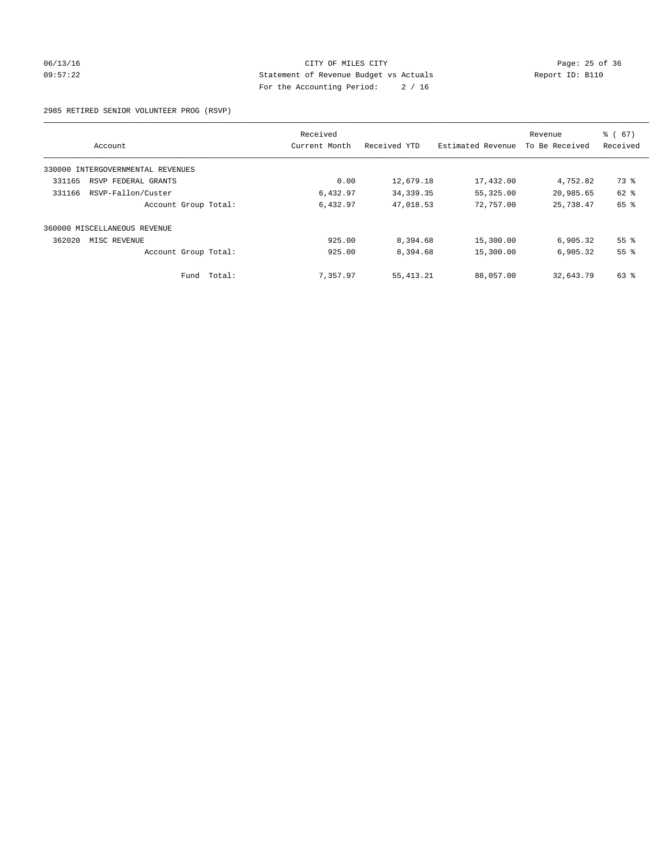#### 06/13/16 Page: 25 of 36 09:57:22 Statement of Revenue Budget vs Actuals Report ID: B110 For the Accounting Period: 2 / 16

2985 RETIRED SENIOR VOLUNTEER PROG (RSVP)

|                                   | Received      |              |                   | Revenue        | % (67)          |
|-----------------------------------|---------------|--------------|-------------------|----------------|-----------------|
| Account                           | Current Month | Received YTD | Estimated Revenue | To Be Received | Received        |
| 330000 INTERGOVERNMENTAL REVENUES |               |              |                   |                |                 |
| 331165<br>RSVP FEDERAL GRANTS     | 0.00          | 12,679.18    | 17,432.00         | 4,752.82       | 73 %            |
| RSVP-Fallon/Custer<br>331166      | 6,432.97      | 34, 339. 35  | 55,325.00         | 20,985.65      | 62 %            |
| Account Group Total:              | 6,432.97      | 47,018.53    | 72,757.00         | 25,738.47      | 65 %            |
| 360000 MISCELLANEOUS REVENUE      |               |              |                   |                |                 |
| 362020<br>MISC REVENUE            | 925.00        | 8,394.68     | 15,300.00         | 6,905.32       | 55 <sup>8</sup> |
| Account Group Total:              | 925.00        | 8,394.68     | 15,300.00         | 6.905.32       | 55%             |
| Fund Total:                       | 7,357.97      | 55, 413.21   | 88,057.00         | 32,643.79      | 63 %            |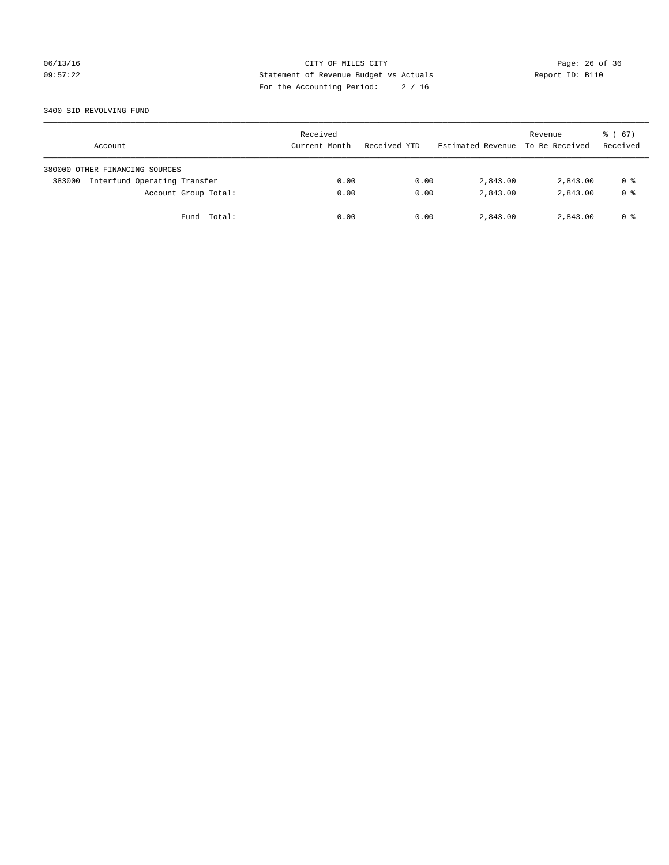## 06/13/16 Page: 26 of 36 09:57:22 Statement of Revenue Budget vs Actuals Report ID: B110 For the Accounting Period: 2 / 16

#### 3400 SID REVOLVING FUND

| Account                                | Received<br>Current Month | Received YTD | Estimated Revenue | Revenue<br>To Be Received | 8 ( 67)<br>Received |
|----------------------------------------|---------------------------|--------------|-------------------|---------------------------|---------------------|
| 380000 OTHER FINANCING SOURCES         |                           |              |                   |                           |                     |
| Interfund Operating Transfer<br>383000 | 0.00                      | 0.00         | 2,843.00          | 2,843.00                  | 0 %                 |
| Account Group Total:                   | 0.00                      | 0.00         | 2,843.00          | 2,843.00                  | 0 <sup>8</sup>      |
| Fund Total:                            | 0.00                      | 0.00         | 2,843.00          | 2,843.00                  | 0 %                 |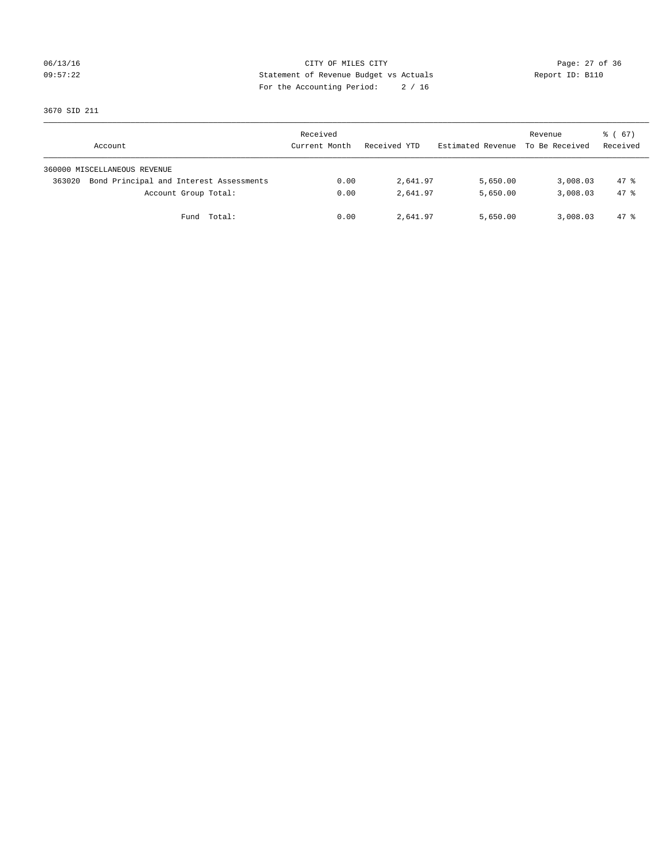## 06/13/16 Page: 27 of 36 09:57:22 Statement of Revenue Budget vs Actuals Report ID: B110 For the Accounting Period: 2 / 16

3670 SID 211

| Account                                           | Received<br>Current Month | Received YTD | Estimated Revenue | Revenue<br>To Be Received | $\frac{1}{6}$ (67)<br>Received |
|---------------------------------------------------|---------------------------|--------------|-------------------|---------------------------|--------------------------------|
| 360000 MISCELLANEOUS REVENUE                      |                           |              |                   |                           |                                |
| Bond Principal and Interest Assessments<br>363020 | 0.00                      | 2,641.97     | 5,650.00          | 3,008.03                  | $47*$                          |
| Account Group Total:                              | 0.00                      | 2,641.97     | 5,650.00          | 3,008.03                  | 47.8                           |
| Fund Total:                                       | 0.00                      | 2,641.97     | 5,650.00          | 3,008.03                  | 47 %                           |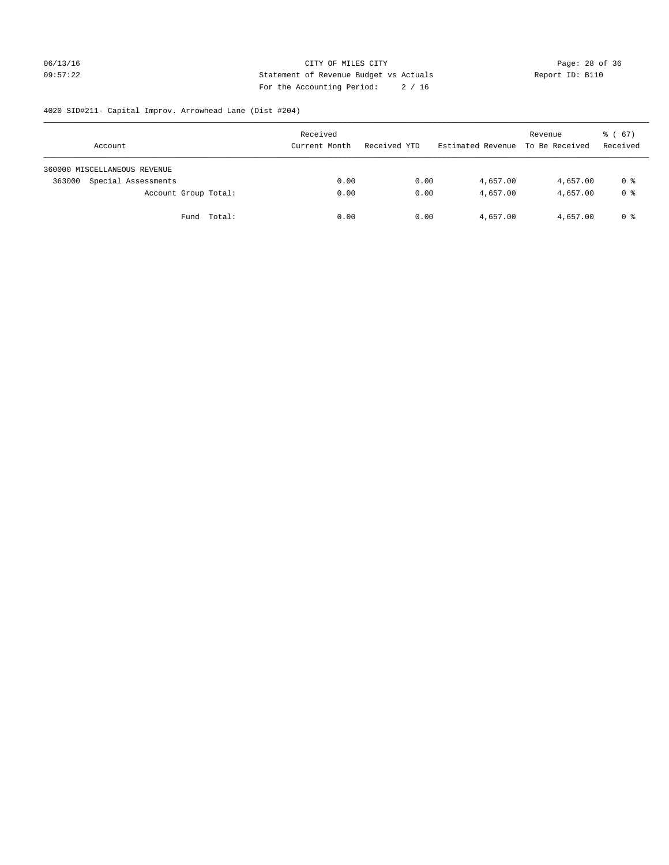## 06/13/16 Page: 28 of 36 09:57:22 Statement of Revenue Budget vs Actuals Report ID: B110 For the Accounting Period: 2 / 16

# 4020 SID#211- Capital Improv. Arrowhead Lane (Dist #204)

| Account                       | Received<br>Current Month | Received YTD | Estimated Revenue | Revenue<br>To Be Received | $\frac{1}{6}$ (67)<br>Received |
|-------------------------------|---------------------------|--------------|-------------------|---------------------------|--------------------------------|
| 360000 MISCELLANEOUS REVENUE  |                           |              |                   |                           |                                |
| Special Assessments<br>363000 | 0.00                      | 0.00         | 4,657.00          | 4,657.00                  | 0 %                            |
| Account Group Total:          | 0.00                      | 0.00         | 4,657.00          | 4,657.00                  | 0 %                            |
| Fund Total:                   | 0.00                      | 0.00         | 4,657.00          | 4,657.00                  | 0 %                            |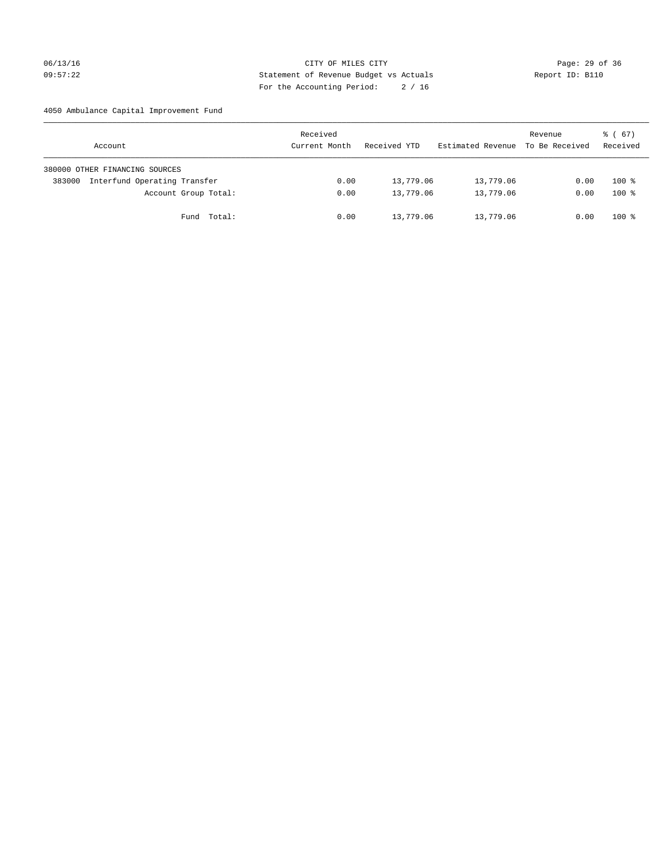## 06/13/16 Page: 29 of 36 09:57:22 Statement of Revenue Budget vs Actuals Report ID: B110 For the Accounting Period: 2 / 16

4050 Ambulance Capital Improvement Fund

| Account                                | Received<br>Current Month | Received YTD | Estimated Revenue | Revenue<br>To Be Received | $\frac{1}{6}$ (67)<br>Received |
|----------------------------------------|---------------------------|--------------|-------------------|---------------------------|--------------------------------|
| 380000 OTHER FINANCING SOURCES         |                           |              |                   |                           |                                |
| Interfund Operating Transfer<br>383000 | 0.00                      | 13,779.06    | 13,779.06         | 0.00                      | $100*$                         |
| Account Group Total:                   | 0.00                      | 13,779.06    | 13,779.06         | 0.00                      | $100*$                         |
| Fund Total:                            | 0.00                      | 13,779.06    | 13,779.06         | 0.00                      | $100*$                         |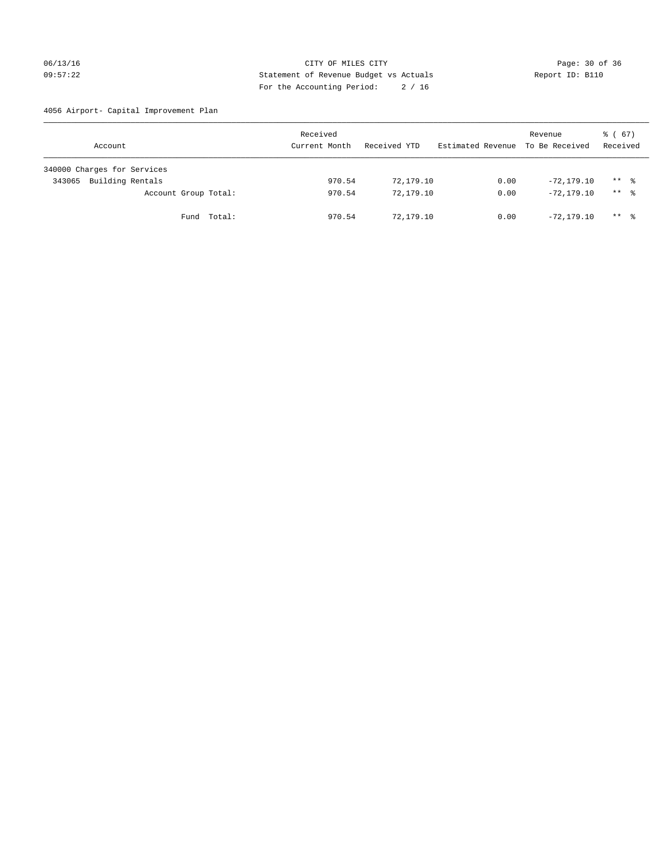## 06/13/16 Page: 30 of 36 09:57:22 Statement of Revenue Budget vs Actuals Report ID: B110 For the Accounting Period: 2 / 16

4056 Airport- Capital Improvement Plan

| Account                     | Received<br>Current Month | Received YTD | Estimated Revenue | Revenue<br>To Be Received | $\frac{1}{6}$ (67)<br>Received |
|-----------------------------|---------------------------|--------------|-------------------|---------------------------|--------------------------------|
| 340000 Charges for Services |                           |              |                   |                           |                                |
| Building Rentals<br>343065  | 970.54                    | 72,179.10    | 0.00              | $-72.179.10$              | $***$ %                        |
| Account Group Total:        | 970.54                    | 72,179.10    | 0.00              | $-72, 179, 10$            | $***$ %                        |
| Fund Total:                 | 970.54                    | 72,179.10    | 0.00              | $-72.179.10$              | ** *                           |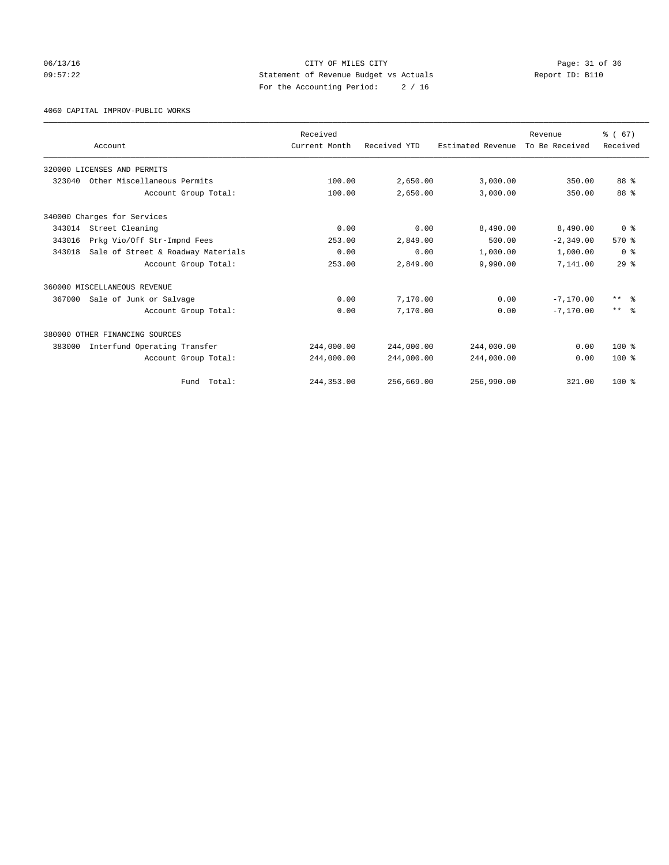06/13/16 Page: 31 of 36 09:57:22 Statement of Revenue Budget vs Actuals Report ID: B110 For the Accounting Period: 2 / 16

4060 CAPITAL IMPROV-PUBLIC WORKS

|        |                                    | Received      |              |                   | Revenue        | % (67)          |
|--------|------------------------------------|---------------|--------------|-------------------|----------------|-----------------|
|        | Account                            | Current Month | Received YTD | Estimated Revenue | To Be Received | Received        |
|        | 320000 LICENSES AND PERMITS        |               |              |                   |                |                 |
| 323040 | Other Miscellaneous Permits        | 100.00        | 2,650.00     | 3,000.00          | 350.00         | 88 %            |
|        | Account Group Total:               | 100.00        | 2,650.00     | 3,000.00          | 350.00         | 88 %            |
|        | 340000 Charges for Services        |               |              |                   |                |                 |
| 343014 | Street Cleaning                    | 0.00          | 0.00         | 8,490.00          | 8,490.00       | 0 <sup>8</sup>  |
| 343016 | Prkg Vio/Off Str-Impnd Fees        | 253.00        | 2,849.00     | 500.00            | $-2, 349.00$   | 570%            |
| 343018 | Sale of Street & Roadway Materials | 0.00          | 0.00         | 1,000.00          | 1,000.00       | 0 <sup>8</sup>  |
|        | Account Group Total:               | 253.00        | 2,849.00     | 9,990.00          | 7,141.00       | 29 <sup>8</sup> |
|        | 360000 MISCELLANEOUS REVENUE       |               |              |                   |                |                 |
| 367000 | Sale of Junk or Salvage            | 0.00          | 7,170.00     | 0.00              | $-7.170.00$    | $***$ $=$       |
|        | Account Group Total:               | 0.00          | 7,170.00     | 0.00              | $-7.170.00$    | $***$ $\approx$ |
|        | 380000 OTHER FINANCING SOURCES     |               |              |                   |                |                 |
| 383000 | Interfund Operating Transfer       | 244,000.00    | 244,000.00   | 244,000.00        | 0.00           | $100*$          |
|        | Account Group Total:               | 244,000.00    | 244,000.00   | 244,000.00        | 0.00           | $100*$          |
|        | Fund Total:                        | 244, 353.00   | 256,669.00   | 256,990.00        | 321.00         | $100*$          |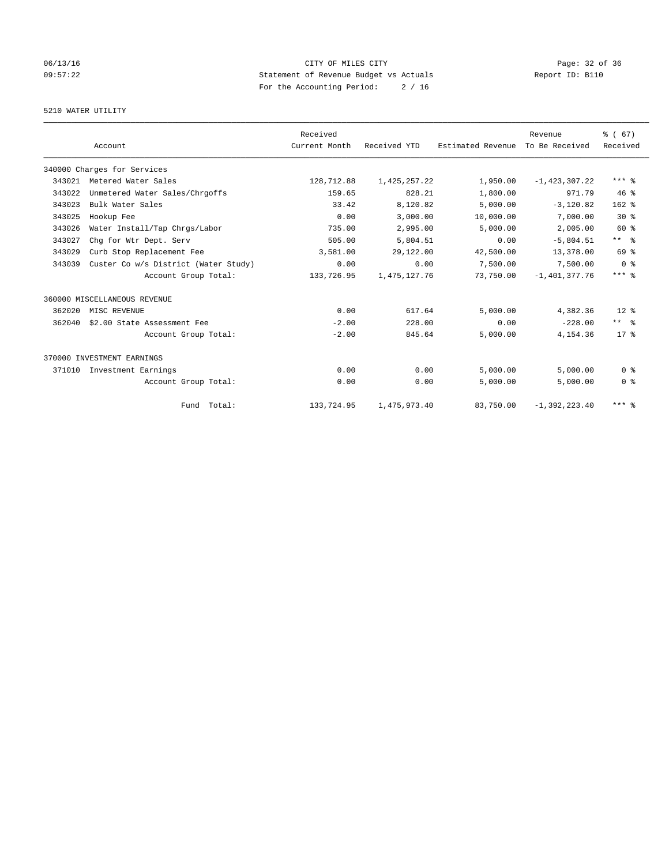## 06/13/16 Page: 32 of 36 09:57:22 Statement of Revenue Budget vs Actuals Report ID: B110 For the Accounting Period: 2 / 16

## 5210 WATER UTILITY

|        |                                      | Received      |                 |                   | Revenue           | % (67)         |
|--------|--------------------------------------|---------------|-----------------|-------------------|-------------------|----------------|
|        | Account                              | Current Month | Received YTD    | Estimated Revenue | To Be Received    | Received       |
|        | 340000 Charges for Services          |               |                 |                   |                   |                |
| 343021 | Metered Water Sales                  | 128,712.88    | 1,425,257.22    | 1,950.00          | $-1,423,307.22$   | $***$ $%$      |
| 343022 | Unmetered Water Sales/Chrgoffs       | 159.65        | 828.21          | 1,800.00          | 971.79            | 46%            |
| 343023 | Bulk Water Sales                     | 33.42         | 8,120.82        | 5,000.00          | $-3.120.82$       | $162$ %        |
| 343025 | Hookup Fee                           | 0.00          | 3,000.00        | 10,000.00         | 7,000.00          | $30*$          |
| 343026 | Water Install/Tap Chrgs/Labor        | 735.00        | 2,995.00        | 5.000.00          | 2,005.00          | 60 %           |
| 343027 | Chq for Wtr Dept. Serv               | 505.00        | 5,804.51        | 0.00              | $-5,804.51$       | $***$ $ -$     |
| 343029 | Curb Stop Replacement Fee            | 3,581.00      | 29,122.00       | 42,500.00         | 13,378.00         | 69 %           |
| 343039 | Custer Co w/s District (Water Study) | 0.00          | 0.00            | 7,500.00          | 7,500.00          | 0 <sup>8</sup> |
|        | Account Group Total:                 | 133,726.95    | 1, 475, 127. 76 | 73,750.00         | $-1,401,377.76$   | $***$ $%$      |
|        | 360000 MISCELLANEOUS REVENUE         |               |                 |                   |                   |                |
| 362020 | MISC REVENUE                         | 0.00          | 617.64          | 5,000.00          | 4,382.36          | $12*$          |
| 362040 | \$2.00 State Assessment Fee          | $-2.00$       | 228.00          | 0.00              | $-228.00$         | $***$ $%$      |
|        | Account Group Total:                 | $-2.00$       | 845.64          | 5,000.00          | 4, 154.36         | $17*$          |
|        | 370000 INVESTMENT EARNINGS           |               |                 |                   |                   |                |
| 371010 | Investment Earnings                  | 0.00          | 0.00            | 5,000.00          | 5.000.00          | 0 <sup>8</sup> |
|        | Account Group Total:                 | 0.00          | 0.00            | 5,000.00          | 5,000.00          | 0 <sup>8</sup> |
|        | Fund Total:                          | 133,724.95    | 1,475,973.40    | 83,750.00         | $-1, 392, 223.40$ | $***$ $%$      |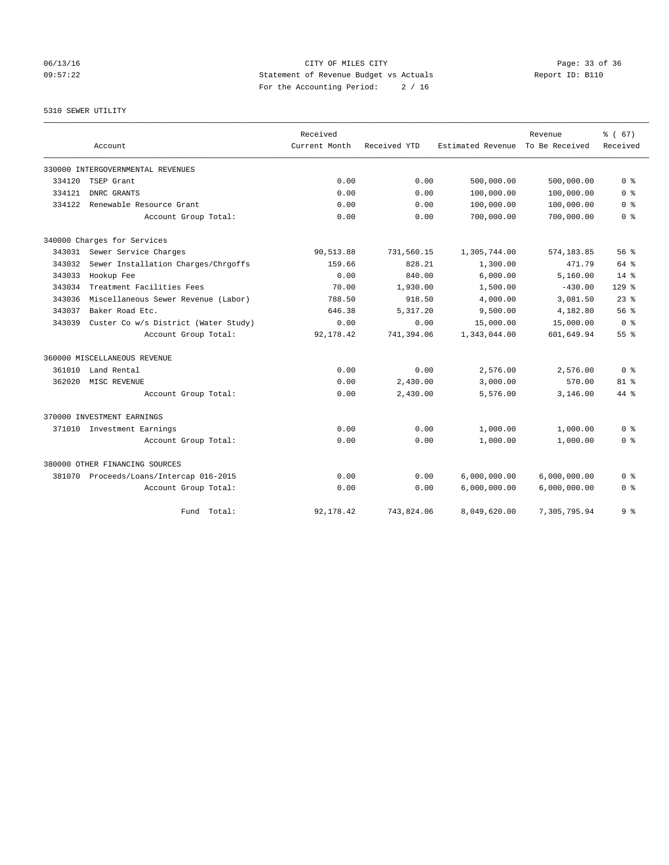06/13/16 Page: 33 of 36 09:57:22 Statement of Revenue Budget vs Actuals Report ID: B110 For the Accounting Period: 2 / 16

#### 5310 SEWER UTILITY

|        |                                         | Received      |              |                   | Revenue        | % (67)          |
|--------|-----------------------------------------|---------------|--------------|-------------------|----------------|-----------------|
|        | Account                                 | Current Month | Received YTD | Estimated Revenue | To Be Received | Received        |
|        | 330000 INTERGOVERNMENTAL REVENUES       |               |              |                   |                |                 |
| 334120 | TSEP Grant                              | 0.00          | 0.00         | 500,000.00        | 500,000.00     | 0 <sup>8</sup>  |
| 334121 | DNRC GRANTS                             | 0.00          | 0.00         | 100,000.00        | 100,000.00     | 0 <sup>8</sup>  |
| 334122 | Renewable Resource Grant                | 0.00          | 0.00         | 100,000.00        | 100,000.00     | 0 <sup>8</sup>  |
|        | Account Group Total:                    | 0.00          | 0.00         | 700,000.00        | 700,000.00     | 0 <sup>8</sup>  |
|        | 340000 Charges for Services             |               |              |                   |                |                 |
| 343031 | Sewer Service Charges                   | 90,513.88     | 731,560.15   | 1,305,744.00      | 574,183.85     | 56%             |
| 343032 | Sewer Installation Charges/Chrgoffs     | 159.66        | 828.21       | 1,300.00          | 471.79         | $64$ $%$        |
| 343033 | Hookup Fee                              | 0.00          | 840.00       | 6,000.00          | 5,160.00       | $14*$           |
| 343034 | Treatment Facilities Fees               | 70.00         | 1,930.00     | 1,500.00          | $-430.00$      | $129$ $%$       |
| 343036 | Miscellaneous Sewer Revenue (Labor)     | 788.50        | 918.50       | 4,000.00          | 3,081.50       | $23$ $%$        |
| 343037 | Baker Road Etc.                         | 646.38        | 5,317.20     | 9,500.00          | 4,182.80       | 56%             |
| 343039 | Custer Co w/s District (Water Study)    | 0.00          | 0.00         | 15,000.00         | 15,000.00      | 0 <sup>8</sup>  |
|        | Account Group Total:                    | 92,178.42     | 741,394.06   | 1,343,044.00      | 601,649.94     | 55 <sup>8</sup> |
|        | 360000 MISCELLANEOUS REVENUE            |               |              |                   |                |                 |
| 361010 | Land Rental                             | 0.00          | 0.00         | 2,576.00          | 2,576.00       | 0 <sup>8</sup>  |
| 362020 | MISC REVENUE                            | 0.00          | 2,430.00     | 3,000.00          | 570.00         | 81 <sup>8</sup> |
|        | Account Group Total:                    | 0.00          | 2,430.00     | 5,576.00          | 3,146.00       | $44*$           |
|        | 370000 INVESTMENT EARNINGS              |               |              |                   |                |                 |
| 371010 | Investment Earnings                     | 0.00          | 0.00         | 1,000.00          | 1,000.00       | 0 <sup>8</sup>  |
|        | Account Group Total:                    | 0.00          | 0.00         | 1,000.00          | 1,000.00       | 0 <sup>8</sup>  |
|        | 380000 OTHER FINANCING SOURCES          |               |              |                   |                |                 |
|        | 381070 Proceeds/Loans/Intercap 016-2015 | 0.00          | 0.00         | 6,000,000.00      | 6,000,000.00   | 0 <sup>8</sup>  |
|        | Account Group Total:                    | 0.00          | 0.00         | 6,000,000.00      | 6,000,000.00   | 0 <sup>8</sup>  |
|        | Fund Total:                             | 92,178.42     | 743,824.06   | 8,049,620.00      | 7,305,795.94   | 9 <sup>8</sup>  |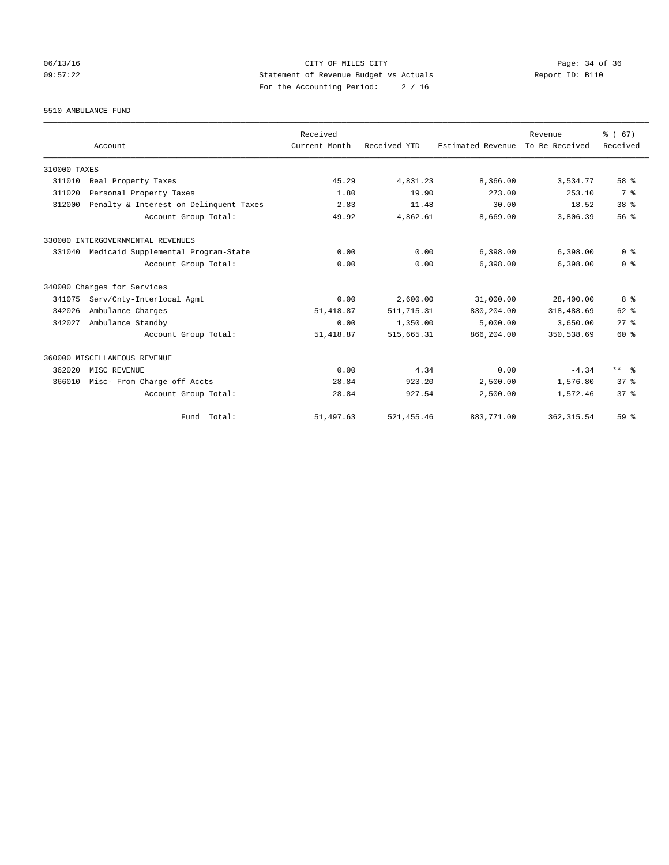## 06/13/16 Page: 34 of 36 09:57:22 Statement of Revenue Budget vs Actuals Report ID: B110 For the Accounting Period: 2 / 16

5510 AMBULANCE FUND

|              |                                        | Received      |              |                   | Revenue        | % (67)          |
|--------------|----------------------------------------|---------------|--------------|-------------------|----------------|-----------------|
|              | Account                                | Current Month | Received YTD | Estimated Revenue | To Be Received | Received        |
| 310000 TAXES |                                        |               |              |                   |                |                 |
| 311010       | Real Property Taxes                    | 45.29         | 4,831.23     | 8,366.00          | 3,534.77       | 58 %            |
| 311020       | Personal Property Taxes                | 1.80          | 19.90        | 273.00            | 253.10         | 7 %             |
| 312000       | Penalty & Interest on Delinquent Taxes | 2.83          | 11.48        | 30.00             | 18.52          | 38 <sup>8</sup> |
|              | Account Group Total:                   | 49.92         | 4,862.61     | 8,669.00          | 3,806.39       | 56 <sup>8</sup> |
|              | 330000 INTERGOVERNMENTAL REVENUES      |               |              |                   |                |                 |
| 331040       | Medicaid Supplemental Program-State    | 0.00          | 0.00         | 6,398.00          | 6,398.00       | 0 <sup>8</sup>  |
|              | Account Group Total:                   | 0.00          | 0.00         | 6.398.00          | 6,398.00       | 0 <sup>8</sup>  |
|              | 340000 Charges for Services            |               |              |                   |                |                 |
| 341075       | Serv/Cnty-Interlocal Agmt              | 0.00          | 2,600.00     | 31,000.00         | 28,400.00      | 8 %             |
| 342026       | Ambulance Charges                      | 51, 418.87    | 511, 715.31  | 830,204.00        | 318,488.69     | 62 %            |
| 342027       | Ambulance Standby                      | 0.00          | 1,350.00     | 5,000.00          | 3,650.00       | $27$ $%$        |
|              | Account Group Total:                   | 51, 418.87    | 515,665.31   | 866,204.00        | 350,538.69     | 60 %            |
|              | 360000 MISCELLANEOUS REVENUE           |               |              |                   |                |                 |
| 362020       | MISC REVENUE                           | 0.00          | 4.34         | 0.00              | $-4.34$        | ** %            |
| 366010       | Misc- From Charge off Accts            | 28.84         | 923.20       | 2,500.00          | 1,576.80       | 37 <sup>8</sup> |
|              | Account Group Total:                   | 28.84         | 927.54       | 2,500.00          | 1,572.46       | 37 <sup>8</sup> |
|              | Fund Total:                            | 51,497.63     | 521, 455.46  | 883,771.00        | 362, 315.54    | 59 <sup>8</sup> |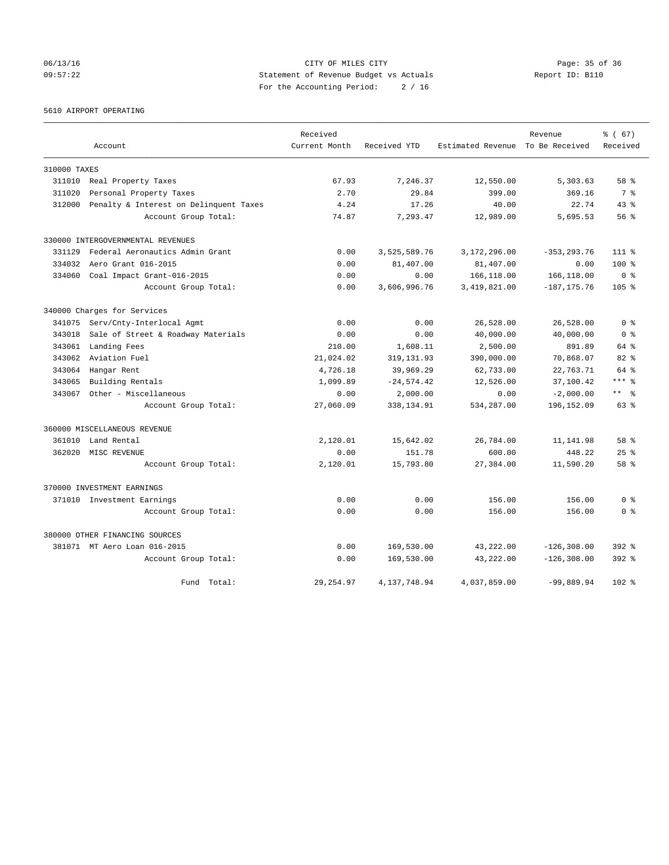## 06/13/16 Page: 35 of 36 09:57:22 Statement of Revenue Budget vs Actuals Report ID: B110 For the Accounting Period: 2 / 16

5610 AIRPORT OPERATING

|              |                                        | Received      |               |                                  | Revenue        | % (67)           |
|--------------|----------------------------------------|---------------|---------------|----------------------------------|----------------|------------------|
|              | Account                                | Current Month | Received YTD  | Estimated Revenue To Be Received |                | Received         |
| 310000 TAXES |                                        |               |               |                                  |                |                  |
| 311010       | Real Property Taxes                    | 67.93         | 7,246.37      | 12,550.00                        | 5,303.63       | 58 %             |
| 311020       | Personal Property Taxes                | 2.70          | 29.84         | 399.00                           | 369.16         | 7 %              |
| 312000       | Penalty & Interest on Delinquent Taxes | 4.24          | 17.26         | 40.00                            | 22.74          | $43*$            |
|              | Account Group Total:                   | 74.87         | 7,293.47      | 12,989.00                        | 5,695.53       | 56%              |
|              | 330000 INTERGOVERNMENTAL REVENUES      |               |               |                                  |                |                  |
| 331129       | Federal Aeronautics Admin Grant        | 0.00          | 3,525,589.76  | 3,172,296.00                     | $-353, 293.76$ | $111$ %          |
| 334032       | Aero Grant 016-2015                    | 0.00          | 81,407.00     | 81,407.00                        | 0.00           | $100*$           |
| 334060       | Coal Impact Grant-016-2015             | 0.00          | 0.00          | 166,118.00                       | 166,118.00     | 0 <sup>8</sup>   |
|              | Account Group Total:                   | 0.00          | 3,606,996.76  | 3,419,821.00                     | $-187, 175.76$ | 105 <sub>8</sub> |
|              | 340000 Charges for Services            |               |               |                                  |                |                  |
| 341075       | Serv/Cnty-Interlocal Agmt              | 0.00          | 0.00          | 26,528.00                        | 26,528.00      | 0 <sup>8</sup>   |
| 343018       | Sale of Street & Roadway Materials     | 0.00          | 0.00          | 40,000.00                        | 40,000.00      | 0 <sup>8</sup>   |
| 343061       | Landing Fees                           | 210.00        | 1,608.11      | 2,500.00                         | 891.89         | 64 %             |
| 343062       | Aviation Fuel                          | 21,024.02     | 319, 131.93   | 390,000.00                       | 70,868.07      | 82%              |
| 343064       | Hangar Rent                            | 4,726.18      | 39,969.29     | 62,733.00                        | 22,763.71      | 64 %             |
| 343065       | Building Rentals                       | 1,099.89      | $-24, 574.42$ | 12,526.00                        | 37,100.42      | $***$ $_{8}$     |
| 343067       | Other - Miscellaneous                  | 0.00          | 2,000.00      | 0.00                             | $-2,000.00$    | $***$ $=$        |
|              | Account Group Total:                   | 27,060.09     | 338, 134.91   | 534,287.00                       | 196,152.09     | 63 %             |
|              | 360000 MISCELLANEOUS REVENUE           |               |               |                                  |                |                  |
| 361010       | Land Rental                            | 2,120.01      | 15,642.02     | 26,784.00                        | 11,141.98      | 58 %             |
| 362020       | MISC REVENUE                           | 0.00          | 151.78        | 600.00                           | 448.22         | $25$ $%$         |
|              | Account Group Total:                   | 2,120.01      | 15,793.80     | 27,384.00                        | 11,590.20      | 58 %             |
|              | 370000 INVESTMENT EARNINGS             |               |               |                                  |                |                  |
|              | 371010 Investment Earnings             | 0.00          | 0.00          | 156.00                           | 156.00         | 0 <sup>8</sup>   |
|              | Account Group Total:                   | 0.00          | 0.00          | 156.00                           | 156.00         | 0 <sup>8</sup>   |
|              | 380000 OTHER FINANCING SOURCES         |               |               |                                  |                |                  |
|              | 381071 MT Aero Loan 016-2015           | 0.00          | 169,530.00    | 43,222.00                        | $-126, 308.00$ | $392$ $%$        |
|              | Account Group Total:                   | 0.00          | 169,530.00    | 43,222.00                        | $-126, 308.00$ | $392$ $%$        |
|              | Fund<br>Total:                         | 29, 254.97    | 4,137,748.94  | 4,037,859.00                     | $-99,889.94$   | $102$ %          |